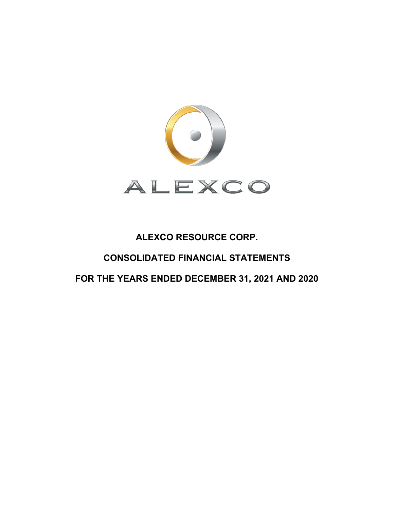

# **ALEXCO RESOURCE CORP.**

# **CONSOLIDATED FINANCIAL STATEMENTS**

**FOR THE YEARS ENDED DECEMBER 31, 2021 AND 2020**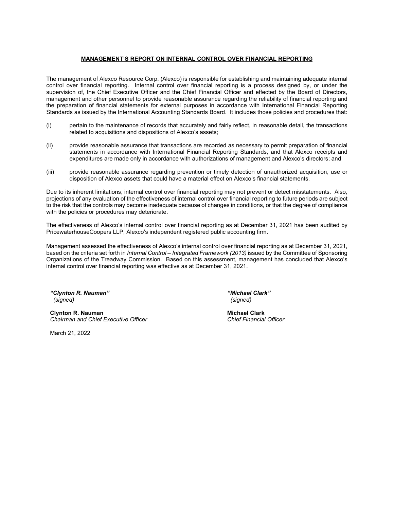## **MANAGEMENT'S REPORT ON INTERNAL CONTROL OVER FINANCIAL REPORTING**

The management of Alexco Resource Corp. (Alexco) is responsible for establishing and maintaining adequate internal control over financial reporting. Internal control over financial reporting is a process designed by, or under the supervision of, the Chief Executive Officer and the Chief Financial Officer and effected by the Board of Directors, management and other personnel to provide reasonable assurance regarding the reliability of financial reporting and the preparation of financial statements for external purposes in accordance with International Financial Reporting Standards as issued by the International Accounting Standards Board. It includes those policies and procedures that:

- (i) pertain to the maintenance of records that accurately and fairly reflect, in reasonable detail, the transactions related to acquisitions and dispositions of Alexco's assets;
- (ii) provide reasonable assurance that transactions are recorded as necessary to permit preparation of financial statements in accordance with International Financial Reporting Standards, and that Alexco receipts and expenditures are made only in accordance with authorizations of management and Alexco's directors; and
- (iii) provide reasonable assurance regarding prevention or timely detection of unauthorized acquisition, use or disposition of Alexco assets that could have a material effect on Alexco's financial statements.

Due to its inherent limitations, internal control over financial reporting may not prevent or detect misstatements. Also, projections of any evaluation of the effectiveness of internal control over financial reporting to future periods are subject to the risk that the controls may become inadequate because of changes in conditions, or that the degree of compliance with the policies or procedures may deteriorate.

The effectiveness of Alexco's internal control over financial reporting as at December 31, 2021 has been audited by PricewaterhouseCoopers LLP, Alexco's independent registered public accounting firm.

Management assessed the effectiveness of Alexco's internal control over financial reporting as at December 31, 2021, based on the criteria set forth in *Internal Control – Integrated Framework (2013)* issued by the Committee of Sponsoring Organizations of the Treadway Commission. Based on this assessment, management has concluded that Alexco's internal control over financial reporting was effective as at December 31, 2021.

*"Clynton R. Nauman" (signed)*

**Clynton R. Nauman** *Chairman and Chief Executive Officer*

March 21, 2022

*"Michael Clark" (signed)*

**Michael Clark** *Chief Financial Officer*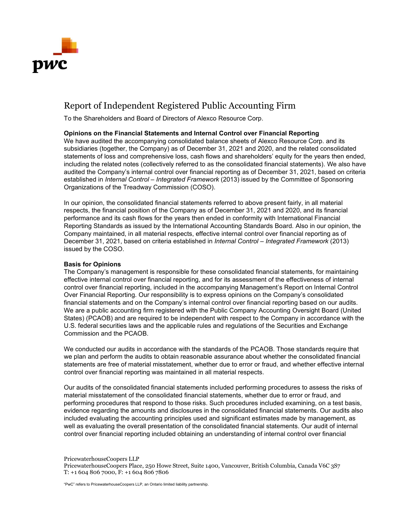

# Report of Independent Registered Public Accounting Firm

To the Shareholders and Board of Directors of Alexco Resource Corp.

# **Opinions on the Financial Statements and Internal Control over Financial Reporting**

We have audited the accompanying consolidated balance sheets of Alexco Resource Corp. and its subsidiaries (together, the Company) as of December 31, 2021 and 2020, and the related consolidated statements of loss and comprehensive loss, cash flows and shareholders' equity for the years then ended, including the related notes (collectively referred to as the consolidated financial statements). We also have audited the Company's internal control over financial reporting as of December 31, 2021, based on criteria established in *Internal Control – Integrated Framework* (2013) issued by the Committee of Sponsoring Organizations of the Treadway Commission (COSO).

In our opinion, the consolidated financial statements referred to above present fairly, in all material respects, the financial position of the Company as of December 31, 2021 and 2020, and its financial performance and its cash flows for the years then ended in conformity with International Financial Reporting Standards as issued by the International Accounting Standards Board. Also in our opinion, the Company maintained, in all material respects, effective internal control over financial reporting as of December 31, 2021, based on criteria established in *Internal Control – Integrated Framework* (2013) issued by the COSO.

# **Basis for Opinions**

The Company's management is responsible for these consolidated financial statements, for maintaining effective internal control over financial reporting, and for its assessment of the effectiveness of internal control over financial reporting, included in the accompanying Management's Report on Internal Control Over Financial Reporting. Our responsibility is to express opinions on the Company's consolidated financial statements and on the Company's internal control over financial reporting based on our audits. We are a public accounting firm registered with the Public Company Accounting Oversight Board (United States) (PCAOB) and are required to be independent with respect to the Company in accordance with the U.S. federal securities laws and the applicable rules and regulations of the Securities and Exchange Commission and the PCAOB.

We conducted our audits in accordance with the standards of the PCAOB. Those standards require that we plan and perform the audits to obtain reasonable assurance about whether the consolidated financial statements are free of material misstatement, whether due to error or fraud, and whether effective internal control over financial reporting was maintained in all material respects.

Our audits of the consolidated financial statements included performing procedures to assess the risks of material misstatement of the consolidated financial statements, whether due to error or fraud, and performing procedures that respond to those risks. Such procedures included examining, on a test basis, evidence regarding the amounts and disclosures in the consolidated financial statements. Our audits also included evaluating the accounting principles used and significant estimates made by management, as well as evaluating the overall presentation of the consolidated financial statements. Our audit of internal control over financial reporting included obtaining an understanding of internal control over financial

PricewaterhouseCoopers LLP

PricewaterhouseCoopers Place, 250 Howe Street, Suite 1400, Vancouver, British Columbia, Canada V6C 3S7 T: +1 604 806 7000, F: +1 604 806 7806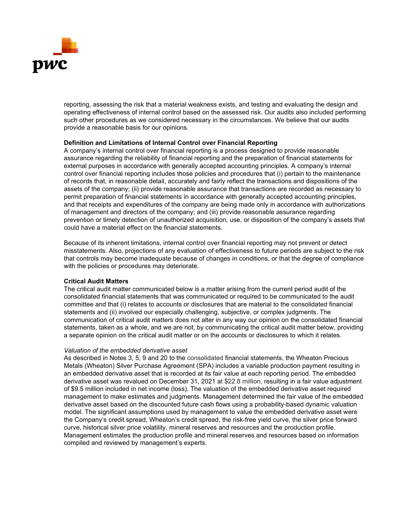

reporting, assessing the risk that a material weakness exists, and testing and evaluating the design and operating effectiveness of internal control based on the assessed risk. Our audits also included performing such other procedures as we considered necessary in the circumstances. We believe that our audits provide a reasonable basis for our opinions.

# **Definition and Limitations of Internal Control over Financial Reporting**

A company's internal control over financial reporting is a process designed to provide reasonable assurance regarding the reliability of financial reporting and the preparation of financial statements for external purposes in accordance with generally accepted accounting principles. A company's internal control over financial reporting includes those policies and procedures that (i) pertain to the maintenance of records that, in reasonable detail, accurately and fairly reflect the transactions and dispositions of the assets of the company; (ii) provide reasonable assurance that transactions are recorded as necessary to permit preparation of financial statements in accordance with generally accepted accounting principles, and that receipts and expenditures of the company are being made only in accordance with authorizations of management and directors of the company; and (iii) provide reasonable assurance regarding prevention or timely detection of unauthorized acquisition, use, or disposition of the company's assets that could have a material effect on the financial statements.

Because of its inherent limitations, internal control over financial reporting may not prevent or detect misstatements. Also, projections of any evaluation of effectiveness to future periods are subject to the risk that controls may become inadequate because of changes in conditions, or that the degree of compliance with the policies or procedures may deteriorate.

# **Critical Audit Matters**

The critical audit matter communicated below is a matter arising from the current period audit of the consolidated financial statements that was communicated or required to be communicated to the audit committee and that (i) relates to accounts or disclosures that are material to the consolidated financial statements and (ii) involved our especially challenging, subjective, or complex judgments. The communication of critical audit matters does not alter in any way our opinion on the consolidated financial statements, taken as a whole, and we are not, by communicating the critical audit matter below, providing a separate opinion on the critical audit matter or on the accounts or disclosures to which it relates.

# *Valuation of the embedded derivative asset*

As described in Notes 3, 5, 9 and 20 to the consolidated financial statements, the Wheaton Precious Metals (Wheaton) Silver Purchase Agreement (SPA) includes a variable production payment resulting in an embedded derivative asset that is recorded at its fair value at each reporting period. The embedded derivative asset was revalued on December 31, 2021 at \$22.8 million, resulting in a fair value adjustment of \$9.5 million included in net income (loss). The valuation of the embedded derivative asset required management to make estimates and judgments. Management determined the fair value of the embedded derivative asset based on the discounted future cash flows using a probability-based dynamic valuation model. The significant assumptions used by management to value the embedded derivative asset were the Company's credit spread, Wheaton's credit spread, the risk-free yield curve, the silver price forward curve, historical silver price volatility, mineral reserves and resources and the production profile. Management estimates the production profile and mineral reserves and resources based on information compiled and reviewed by management's experts.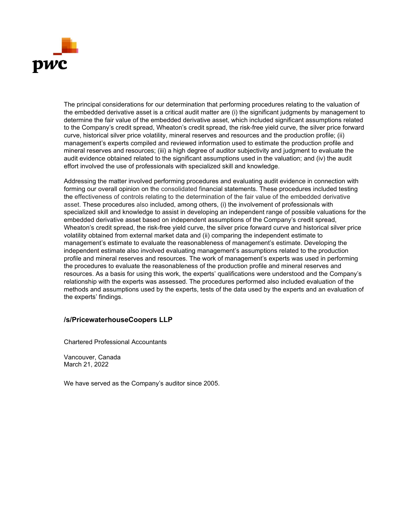

The principal considerations for our determination that performing procedures relating to the valuation of the embedded derivative asset is a critical audit matter are (i) the significant judgments by management to determine the fair value of the embedded derivative asset, which included significant assumptions related to the Company's credit spread, Wheaton's credit spread, the risk-free yield curve, the silver price forward curve, historical silver price volatility, mineral reserves and resources and the production profile; (ii) management's experts compiled and reviewed information used to estimate the production profile and mineral reserves and resources; (iii) a high degree of auditor subjectivity and judgment to evaluate the audit evidence obtained related to the significant assumptions used in the valuation; and (iv) the audit effort involved the use of professionals with specialized skill and knowledge.

Addressing the matter involved performing procedures and evaluating audit evidence in connection with forming our overall opinion on the consolidated financial statements. These procedures included testing the effectiveness of controls relating to the determination of the fair value of the embedded derivative asset. These procedures also included, among others, (i) the involvement of professionals with specialized skill and knowledge to assist in developing an independent range of possible valuations for the embedded derivative asset based on independent assumptions of the Company's credit spread, Wheaton's credit spread, the risk-free yield curve, the silver price forward curve and historical silver price volatility obtained from external market data and (ii) comparing the independent estimate to management's estimate to evaluate the reasonableness of management's estimate. Developing the independent estimate also involved evaluating management's assumptions related to the production profile and mineral reserves and resources. The work of management's experts was used in performing the procedures to evaluate the reasonableness of the production profile and mineral reserves and resources. As a basis for using this work, the experts' qualifications were understood and the Company's relationship with the experts was assessed. The procedures performed also included evaluation of the methods and assumptions used by the experts, tests of the data used by the experts and an evaluation of the experts' findings.

# **/s/PricewaterhouseCoopers LLP**

Chartered Professional Accountants

Vancouver, Canada March 21, 2022

We have served as the Company's auditor since 2005.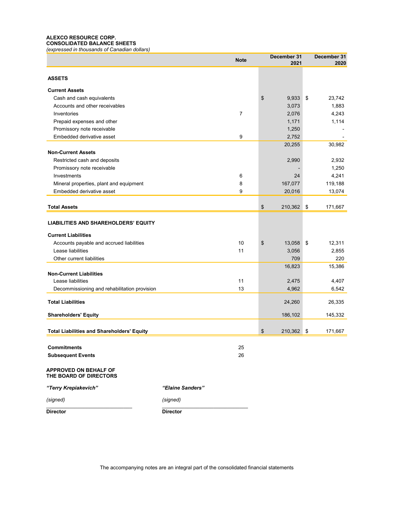#### **ALEXCO RESOURCE CORP. CONSOLIDATED BALANCE SHEETS**

*(expressed in thousands of Canadian dollars)*

|                                                        | <b>Note</b>      | December 31      | December 31  |
|--------------------------------------------------------|------------------|------------------|--------------|
|                                                        |                  | 2021             | 2020         |
| <b>ASSETS</b>                                          |                  |                  |              |
|                                                        |                  |                  |              |
| <b>Current Assets</b>                                  |                  |                  |              |
| Cash and cash equivalents                              |                  | \$<br>9,933      | \$<br>23,742 |
| Accounts and other receivables                         |                  | 3,073            | 1,883        |
| Inventories                                            | $\overline{7}$   | 2,076            | 4,243        |
| Prepaid expenses and other                             |                  | 1,171            | 1,114        |
| Promissory note receivable                             |                  | 1,250            |              |
| Embedded derivative asset                              | 9                | 2,752            |              |
| <b>Non-Current Assets</b>                              |                  | 20,255           | 30,982       |
| Restricted cash and deposits                           |                  | 2,990            | 2,932        |
| Promissory note receivable                             |                  |                  | 1,250        |
| Investments                                            | 6                | 24               | 4,241        |
| Mineral properties, plant and equipment                | 8                | 167,077          | 119,188      |
| Embedded derivative asset                              | 9                | 20,016           | 13,074       |
|                                                        |                  |                  |              |
| <b>Total Assets</b>                                    |                  | \$<br>210,362 \$ | 171,667      |
|                                                        |                  |                  |              |
| <b>LIABILITIES AND SHAREHOLDERS' EQUITY</b>            |                  |                  |              |
| <b>Current Liabilities</b>                             |                  |                  |              |
| Accounts payable and accrued liabilities               | 10               | \$<br>13,058     | \$<br>12,311 |
| Lease liabilities                                      | 11               | 3,056            | 2,855        |
| Other current liabilities                              |                  | 709              | 220          |
|                                                        |                  | 16,823           | 15,386       |
| <b>Non-Current Liabilities</b>                         |                  |                  |              |
| Lease liabilities                                      | 11               | 2,475            | 4,407        |
| Decommissioning and rehabilitation provision           | 13               | 4,962            | 6,542        |
| <b>Total Liabilities</b>                               |                  |                  |              |
|                                                        |                  | 24,260           | 26,335       |
| <b>Shareholders' Equity</b>                            |                  | 186,102          | 145,332      |
|                                                        |                  |                  |              |
| <b>Total Liabilities and Shareholders' Equity</b>      |                  | \$<br>210,362 \$ | 171,667      |
|                                                        |                  |                  |              |
| <b>Commitments</b>                                     | 25               |                  |              |
| <b>Subsequent Events</b>                               | 26               |                  |              |
|                                                        |                  |                  |              |
| <b>APPROVED ON BEHALF OF</b><br>THE BOARD OF DIRECTORS |                  |                  |              |
|                                                        |                  |                  |              |
| "Terry Krepiakevich"                                   | "Elaine Sanders" |                  |              |
| (signed)                                               | (signed)         |                  |              |
| <b>Director</b>                                        | <b>Director</b>  |                  |              |
|                                                        |                  |                  |              |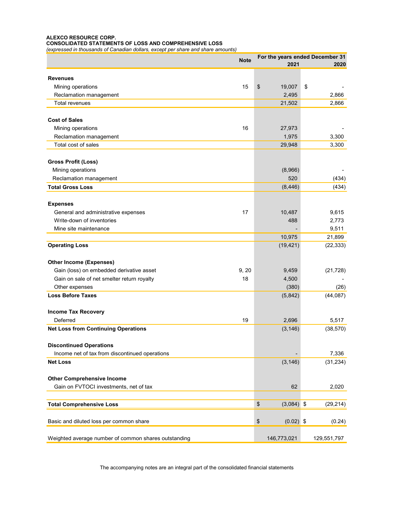#### **ALEXCO RESOURCE CORP. CONSOLIDATED STATEMENTS OF LOSS AND COMPREHENSIVE LOSS**

*(expressed in thousands of Canadian dollars, except per share and share amounts)*

| <b>Note</b>                                          |    | For the years ended December 31 |             |
|------------------------------------------------------|----|---------------------------------|-------------|
|                                                      |    | 2021                            | 2020        |
| <b>Revenues</b>                                      |    |                                 |             |
| Mining operations                                    | 15 | \$<br>19,007                    | \$          |
| Reclamation management                               |    | 2,495                           | 2,866       |
| <b>Total revenues</b>                                |    | 21,502                          | 2,866       |
|                                                      |    |                                 |             |
| <b>Cost of Sales</b>                                 |    |                                 |             |
| Mining operations                                    | 16 | 27,973                          |             |
| Reclamation management                               |    | 1,975                           | 3,300       |
| Total cost of sales                                  |    | 29,948                          | 3,300       |
|                                                      |    |                                 |             |
| <b>Gross Profit (Loss)</b>                           |    |                                 |             |
| Mining operations                                    |    | (8,966)                         |             |
| Reclamation management                               |    | 520                             | (434)       |
| <b>Total Gross Loss</b>                              |    | (8, 446)                        | (434)       |
|                                                      |    |                                 |             |
| <b>Expenses</b>                                      |    |                                 |             |
| General and administrative expenses                  | 17 | 10,487                          | 9,615       |
| Write-down of inventories                            |    | 488                             | 2,773       |
| Mine site maintenance                                |    |                                 | 9,511       |
|                                                      |    | 10,975                          | 21,899      |
| <b>Operating Loss</b>                                |    | (19, 421)                       | (22, 333)   |
|                                                      |    |                                 |             |
| <b>Other Income (Expenses)</b>                       |    |                                 |             |
| Gain (loss) on embedded derivative asset<br>9, 20    |    | 9,459                           | (21, 728)   |
| Gain on sale of net smelter return royalty           | 18 | 4,500                           |             |
| Other expenses                                       |    | (380)                           | (26)        |
| <b>Loss Before Taxes</b>                             |    | (5,842)                         | (44, 087)   |
|                                                      |    |                                 |             |
| <b>Income Tax Recovery</b>                           |    |                                 |             |
| Deferred                                             | 19 | 2,696                           | 5,517       |
| <b>Net Loss from Continuing Operations</b>           |    | (3, 146)                        | (38, 570)   |
|                                                      |    |                                 |             |
| <b>Discontinued Operations</b>                       |    |                                 |             |
| Income net of tax from discontinued operations       |    |                                 | 7,336       |
| <b>Net Loss</b>                                      |    | (3, 146)                        | (31, 234)   |
|                                                      |    |                                 |             |
| <b>Other Comprehensive Income</b>                    |    |                                 |             |
| Gain on FVTOCI investments, net of tax               |    | 62                              | 2,020       |
|                                                      |    |                                 |             |
| <b>Total Comprehensive Loss</b>                      |    | \$<br>$(3,084)$ \$              | (29, 214)   |
|                                                      |    |                                 |             |
| Basic and diluted loss per common share              |    | \$<br>$(0.02)$ \$               | (0.24)      |
|                                                      |    |                                 |             |
| Weighted average number of common shares outstanding |    | 146,773,021                     | 129,551,797 |

The accompanying notes are an integral part of the consolidated financial statements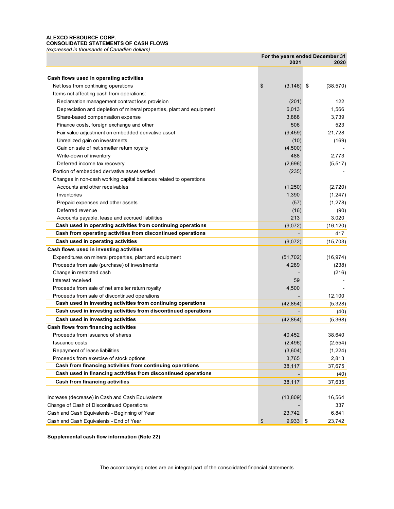# **ALEXCO RESOURCE CORP.**

**CONSOLIDATED STATEMENTS OF CASH FLOWS** *(expressed in thousands of Canadian dollars)*

|                                                                       |                     | For the years ended December 31 |
|-----------------------------------------------------------------------|---------------------|---------------------------------|
|                                                                       | 2021                | 2020                            |
|                                                                       |                     |                                 |
| Cash flows used in operating activities                               |                     |                                 |
| Net loss from continuing operations                                   | \$<br>$(3, 146)$ \$ | (38, 570)                       |
| Items not affecting cash from operations:                             |                     |                                 |
| Reclamation management contract loss provision                        | (201)               | 122                             |
| Depreciation and depletion of mineral properties, plant and equipment | 6,013               | 1,566                           |
| Share-based compensation expense                                      | 3,888               | 3,739                           |
| Finance costs, foreign exchange and other                             | 506                 | 523                             |
| Fair value adjustment on embedded derivative asset                    | (9, 459)            | 21,728                          |
| Unrealized gain on investments                                        | (10)                | (169)                           |
| Gain on sale of net smelter return royalty                            | (4,500)             |                                 |
| Write-down of inventory                                               | 488                 | 2,773                           |
| Deferred income tax recovery                                          | (2,696)             | (5, 517)                        |
| Portion of embedded derivative asset settled                          | (235)               |                                 |
| Changes in non-cash working capital balances related to operations    |                     |                                 |
| Accounts and other receivables                                        | (1,250)             | (2,720)                         |
| Inventories                                                           | 1,390               | (1, 247)                        |
| Prepaid expenses and other assets                                     | (57)                | (1, 278)                        |
| Deferred revenue                                                      | (16)                | (90)                            |
| Accounts payable, lease and accrued liabilities                       | 213                 | 3,020                           |
| Cash used in operating activities from continuing operations          | (9,072)             | (16, 120)                       |
| Cash from operating activities from discontinued operations           |                     | 417                             |
| Cash used in operating activities                                     | (9,072)             | (15,703)                        |
| Cash flows used in investing activities                               |                     |                                 |
| Expenditures on mineral properties, plant and equipment               | (51, 702)           | (16, 974)                       |
| Proceeds from sale (purchase) of investments                          | 4,289               | (238)                           |
| Change in restricted cash                                             |                     | (216)                           |
| Interest received                                                     | 59                  |                                 |
| Proceeds from sale of net smelter return royalty                      | 4,500               |                                 |
| Proceeds from sale of discontinued operations                         |                     | 12,100                          |
| Cash used in investing activities from continuing operations          | (42, 854)           | (5,328)                         |
| Cash used in investing activities from discontinued operations        |                     | (40)                            |
| Cash used in investing activities                                     | (42, 854)           | (5,368)                         |
| Cash flows from financing activities                                  |                     |                                 |
| Proceeds from issuance of shares                                      | 40,452              | 38,640                          |
| Issuance costs                                                        | (2, 496)            | (2, 554)                        |
| Repayment of lease liabilities                                        | (3,604)             | (1, 224)                        |
| Proceeds from exercise of stock options                               | 3,765               | 2,813                           |
| Cash from financing activities from continuing operations             | 38,117              | 37,675                          |
| Cash used in financing activities from discontinued operations        |                     | (40)                            |
| <b>Cash from financing activities</b>                                 | 38,117              | 37,635                          |
|                                                                       |                     |                                 |
| Increase (decrease) in Cash and Cash Equivalents                      | (13,809)            | 16,564                          |
| Change of Cash of Discontinued Operations                             |                     | 337                             |
| Cash and Cash Equivalents - Beginning of Year                         | 23,742              | 6,841                           |
| Cash and Cash Equivalents - End of Year                               | \$<br>$9,933$ \$    | 23,742                          |

**Supplemental cash flow information (Note 22)**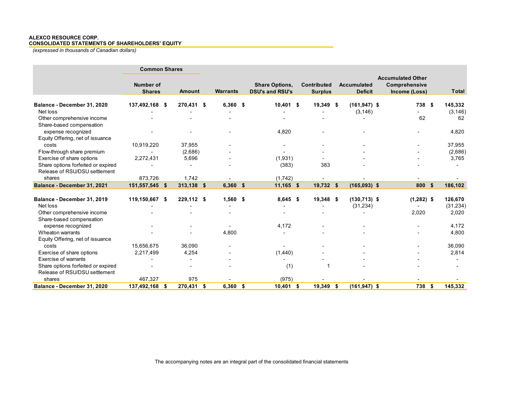# **ALEXCO RESOURCE CORP.**

**CONSOLIDATED STATEMENTS OF SHAREHOLDERS' EQUITY**

*(expressed in thousands of Canadian dollars)*

|                                    | <b>Common Shares</b>              |               |                 |                                                 |                                      |                                      |                                                            |      |              |
|------------------------------------|-----------------------------------|---------------|-----------------|-------------------------------------------------|--------------------------------------|--------------------------------------|------------------------------------------------------------|------|--------------|
|                                    | <b>Number of</b><br><b>Shares</b> | <b>Amount</b> | <b>Warrants</b> | <b>Share Options,</b><br><b>DSU's and RSU's</b> | <b>Contributed</b><br><b>Surplus</b> | <b>Accumulated</b><br><b>Deficit</b> | <b>Accumulated Other</b><br>Comprehensive<br>Income (Loss) |      | <b>Total</b> |
| Balance - December 31, 2020        | 137,492,168 \$                    | 270,431 \$    | $6,360$ \$      | $10,401$ \$                                     | 19,349                               | \$<br>$(161, 947)$ \$                | 738                                                        | -\$  | 145,332      |
| Net loss                           |                                   |               |                 |                                                 |                                      | (3, 146)                             |                                                            |      | (3, 146)     |
| Other comprehensive income         |                                   |               |                 |                                                 |                                      |                                      | 62                                                         |      | 62           |
| Share-based compensation           |                                   |               |                 |                                                 |                                      |                                      |                                                            |      |              |
| expense recognized                 |                                   |               |                 | 4,820                                           |                                      |                                      |                                                            |      | 4,820        |
| Equity Offering, net of issuance   |                                   |               |                 |                                                 |                                      |                                      |                                                            |      |              |
| costs                              | 10,919,220                        | 37,955        |                 |                                                 |                                      |                                      |                                                            |      | 37,955       |
| Flow-through share premium         |                                   | (2,686)       |                 |                                                 |                                      |                                      |                                                            |      | (2,686)      |
| Exercise of share options          | 2,272,431                         | 5,696         |                 | (1,931)                                         |                                      |                                      |                                                            |      | 3,765        |
| Share options forfeited or expired |                                   |               |                 | (383)                                           | 383                                  |                                      |                                                            |      |              |
| Release of RSU/DSU settlement      |                                   |               |                 |                                                 |                                      |                                      |                                                            |      |              |
| shares                             | 873,726                           | 1,742         |                 | (1,742)                                         |                                      |                                      |                                                            |      |              |
| Balance - December 31, 2021        | 151,557,545 \$                    | 313,138 \$    | 6,360 \$        | $11,165$ \$                                     | 19,732 \$                            | $(165,093)$ \$                       | 800                                                        | -\$  | 186,102      |
| Balance - December 31, 2019        | 119,150,667 \$                    | 229,112 \$    | $1,560$ \$      | $8,645$ \$                                      | 19,348 \$                            | $(130, 713)$ \$                      | $(1,282)$ \$                                               |      | 126,670      |
| Net loss                           |                                   |               |                 |                                                 |                                      | (31, 234)                            |                                                            |      | (31, 234)    |
| Other comprehensive income         |                                   |               |                 |                                                 |                                      |                                      | 2,020                                                      |      | 2,020        |
| Share-based compensation           |                                   |               |                 |                                                 |                                      |                                      |                                                            |      |              |
| expense recognized                 |                                   |               |                 | 4,172                                           |                                      |                                      |                                                            |      | 4,172        |
| Wheaton warrants                   |                                   |               | 4.800           |                                                 |                                      |                                      |                                                            |      | 4,800        |
| Equity Offering, net of issuance   |                                   |               |                 |                                                 |                                      |                                      |                                                            |      |              |
| costs                              | 15,656,675                        | 36,090        |                 | $\overline{\phantom{a}}$                        |                                      |                                      |                                                            |      | 36,090       |
| Exercise of share options          | 2,217,499                         | 4,254         |                 | (1,440)                                         |                                      |                                      |                                                            |      | 2,814        |
| Exercise of warrants               |                                   |               |                 |                                                 |                                      |                                      |                                                            |      |              |
| Share options forfeited or expired |                                   |               |                 | (1)                                             |                                      |                                      |                                                            |      |              |
| Release of RSU/DSU settlement      |                                   |               |                 |                                                 |                                      |                                      |                                                            |      |              |
| shares                             | 467,327                           | 975           |                 | (975)                                           |                                      |                                      |                                                            |      |              |
| Balance - December 31, 2020        | 137,492,168 \$                    | 270,431 \$    | $6,360$ \$      | $10,401$ \$                                     | 19,349 \$                            | $(161, 947)$ \$                      | 738                                                        | - \$ | 145,332      |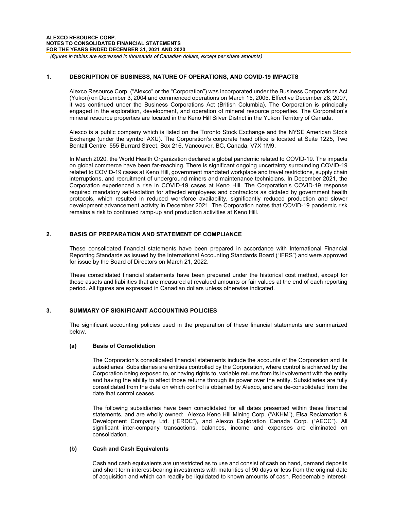#### **1. DESCRIPTION OF BUSINESS, NATURE OF OPERATIONS, AND COVID-19 IMPACTS**

Alexco Resource Corp. ("Alexco" or the "Corporation") was incorporated under the Business Corporations Act (Yukon) on December 3, 2004 and commenced operations on March 15, 2005. Effective December 28, 2007, it was continued under the Business Corporations Act (British Columbia). The Corporation is principally engaged in the exploration, development, and operation of mineral resource properties. The Corporation's mineral resource properties are located in the Keno Hill Silver District in the Yukon Territory of Canada.

Alexco is a public company which is listed on the Toronto Stock Exchange and the NYSE American Stock Exchange (under the symbol AXU). The Corporation's corporate head office is located at Suite 1225, Two Bentall Centre, 555 Burrard Street, Box 216, Vancouver, BC, Canada, V7X 1M9.

In March 2020, the World Health Organization declared a global pandemic related to COVID-19. The impacts on global commerce have been far-reaching. There is significant ongoing uncertainty surrounding COVID-19 related to COVID-19 cases at Keno Hill, government mandated workplace and travel restrictions, supply chain interruptions, and recruitment of underground miners and maintenance technicians. In December 2021, the Corporation experienced a rise in COVID-19 cases at Keno Hill. The Corporation's COVID-19 response required mandatory self-isolation for affected employees and contractors as dictated by government health protocols, which resulted in reduced workforce availability, significantly reduced production and slower development advancement activity in December 2021. The Corporation notes that COVID-19 pandemic risk remains a risk to continued ramp-up and production activities at Keno Hill.

#### **2. BASIS OF PREPARATION AND STATEMENT OF COMPLIANCE**

These consolidated financial statements have been prepared in accordance with International Financial Reporting Standards as issued by the International Accounting Standards Board ("IFRS") and were approved for issue by the Board of Directors on March 21, 2022.

These consolidated financial statements have been prepared under the historical cost method, except for those assets and liabilities that are measured at revalued amounts or fair values at the end of each reporting period. All figures are expressed in Canadian dollars unless otherwise indicated.

## **3. SUMMARY OF SIGNIFICANT ACCOUNTING POLICIES**

The significant accounting policies used in the preparation of these financial statements are summarized below.

#### **(a) Basis of Consolidation**

The Corporation's consolidated financial statements include the accounts of the Corporation and its subsidiaries. Subsidiaries are entities controlled by the Corporation, where control is achieved by the Corporation being exposed to, or having rights to, variable returns from its involvement with the entity and having the ability to affect those returns through its power over the entity. Subsidiaries are fully consolidated from the date on which control is obtained by Alexco, and are de-consolidated from the date that control ceases.

The following subsidiaries have been consolidated for all dates presented within these financial statements, and are wholly owned: Alexco Keno Hill Mining Corp. ("AKHM"), Elsa Reclamation & Development Company Ltd. ("ERDC"), and Alexco Exploration Canada Corp. ("AECC"). All significant inter-company transactions, balances, income and expenses are eliminated on consolidation.

### **(b) Cash and Cash Equivalents**

Cash and cash equivalents are unrestricted as to use and consist of cash on hand, demand deposits and short term interest-bearing investments with maturities of 90 days or less from the original date of acquisition and which can readily be liquidated to known amounts of cash. Redeemable interest-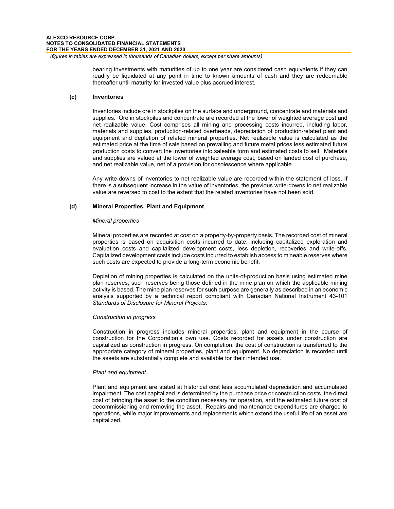bearing investments with maturities of up to one year are considered cash equivalents if they can readily be liquidated at any point in time to known amounts of cash and they are redeemable thereafter until maturity for invested value plus accrued interest.

#### **(c) Inventories**

Inventories include ore in stockpiles on the surface and underground, concentrate and materials and supplies. Ore in stockpiles and concentrate are recorded at the lower of weighted average cost and net realizable value. Cost comprises all mining and processing costs incurred, including labor, materials and supplies, production-related overheads, depreciation of production-related plant and equipment and depletion of related mineral properties. Net realizable value is calculated as the estimated price at the time of sale based on prevailing and future metal prices less estimated future production costs to convert the inventories into saleable form and estimated costs to sell. Materials and supplies are valued at the lower of weighted average cost, based on landed cost of purchase, and net realizable value, net of a provision for obsolescence where applicable.

Any write-downs of inventories to net realizable value are recorded within the statement of loss. If there is a subsequent increase in the value of inventories, the previous write-downs to net realizable value are reversed to cost to the extent that the related inventories have not been sold.

#### **(d) Mineral Properties, Plant and Equipment**

#### *Mineral properties*

Mineral properties are recorded at cost on a property-by-property basis. The recorded cost of mineral properties is based on acquisition costs incurred to date, including capitalized exploration and evaluation costs and capitalized development costs, less depletion, recoveries and write-offs. Capitalized development costs include costs incurred to establish access to mineable reserves where such costs are expected to provide a long-term economic benefit.

Depletion of mining properties is calculated on the units-of-production basis using estimated mine plan reserves, such reserves being those defined in the mine plan on which the applicable mining activity is based. The mine plan reserves for such purpose are generally as described in an economic analysis supported by a technical report compliant with Canadian National Instrument 43-101 *Standards of Disclosure for Mineral Projects*.

#### *Construction in progress*

Construction in progress includes mineral properties, plant and equipment in the course of construction for the Corporation's own use. Costs recorded for assets under construction are capitalized as construction in progress. On completion, the cost of construction is transferred to the appropriate category of mineral properties, plant and equipment. No depreciation is recorded until the assets are substantially complete and available for their intended use.

#### *Plant and equipment*

Plant and equipment are stated at historical cost less accumulated depreciation and accumulated impairment. The cost capitalized is determined by the purchase price or construction costs, the direct cost of bringing the asset to the condition necessary for operation, and the estimated future cost of decommissioning and removing the asset. Repairs and maintenance expenditures are charged to operations, while major improvements and replacements which extend the useful life of an asset are capitalized.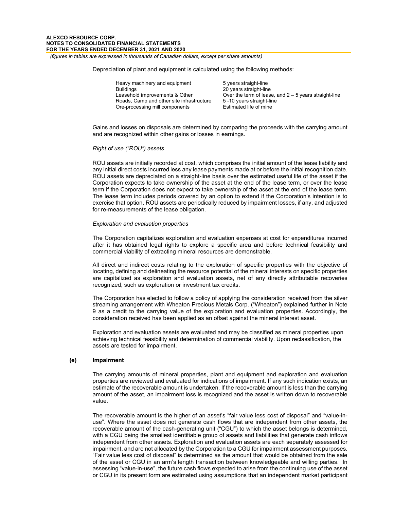Depreciation of plant and equipment is calculated using the following methods:

Heavy machinery and equipment 5 years straight-line Buildings<br>
Leasehold improvements & Other<br>
Over the term of lease Roads, Camp and other site infrastructure 5 -10 years straight-line Ore-processing mill components Estimated life of mine

Over the term of lease, and  $2 - 5$  years straight-line

Gains and losses on disposals are determined by comparing the proceeds with the carrying amount and are recognized within other gains or losses in earnings.

#### *Right of use ("ROU") assets*

ROU assets are initially recorded at cost, which comprises the initial amount of the lease liability and any initial direct costs incurred less any lease payments made at or before the initial recognition date. ROU assets are depreciated on a straight-line basis over the estimated useful life of the asset if the Corporation expects to take ownership of the asset at the end of the lease term, or over the lease term if the Corporation does not expect to take ownership of the asset at the end of the lease term. The lease term includes periods covered by an option to extend if the Corporation's intention is to exercise that option. ROU assets are periodically reduced by impairment losses, if any, and adjusted for re-measurements of the lease obligation.

#### *Exploration and evaluation properties*

The Corporation capitalizes exploration and evaluation expenses at cost for expenditures incurred after it has obtained legal rights to explore a specific area and before technical feasibility and commercial viability of extracting mineral resources are demonstrable.

All direct and indirect costs relating to the exploration of specific properties with the objective of locating, defining and delineating the resource potential of the mineral interests on specific properties are capitalized as exploration and evaluation assets, net of any directly attributable recoveries recognized, such as exploration or investment tax credits.

The Corporation has elected to follow a policy of applying the consideration received from the silver streaming arrangement with Wheaton Precious Metals Corp. ("Wheaton") explained further in Note 9 as a credit to the carrying value of the exploration and evaluation properties. Accordingly, the consideration received has been applied as an offset against the mineral interest asset.

Exploration and evaluation assets are evaluated and may be classified as mineral properties upon achieving technical feasibility and determination of commercial viability. Upon reclassification, the assets are tested for impairment.

#### **(e) Impairment**

The carrying amounts of mineral properties, plant and equipment and exploration and evaluation properties are reviewed and evaluated for indications of impairment. If any such indication exists, an estimate of the recoverable amount is undertaken. If the recoverable amount is less than the carrying amount of the asset, an impairment loss is recognized and the asset is written down to recoverable value.

The recoverable amount is the higher of an asset's "fair value less cost of disposal" and "value-inuse". Where the asset does not generate cash flows that are independent from other assets, the recoverable amount of the cash-generating unit ("CGU") to which the asset belongs is determined, with a CGU being the smallest identifiable group of assets and liabilities that generate cash inflows independent from other assets. Exploration and evaluation assets are each separately assessed for impairment, and are not allocated by the Corporation to a CGU for impairment assessment purposes. "Fair value less cost of disposal" is determined as the amount that would be obtained from the sale of the asset or CGU in an arm's length transaction between knowledgeable and willing parties. In assessing "value-in-use", the future cash flows expected to arise from the continuing use of the asset or CGU in its present form are estimated using assumptions that an independent market participant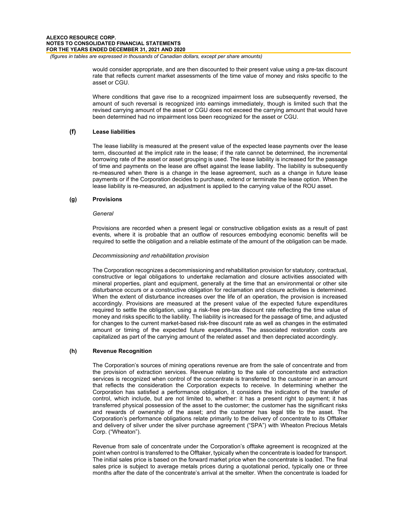would consider appropriate, and are then discounted to their present value using a pre-tax discount rate that reflects current market assessments of the time value of money and risks specific to the asset or CGU.

Where conditions that gave rise to a recognized impairment loss are subsequently reversed, the amount of such reversal is recognized into earnings immediately, though is limited such that the revised carrying amount of the asset or CGU does not exceed the carrying amount that would have been determined had no impairment loss been recognized for the asset or CGU.

## **(f) Lease liabilities**

The lease liability is measured at the present value of the expected lease payments over the lease term, discounted at the implicit rate in the lease; if the rate cannot be determined, the incremental borrowing rate of the asset or asset grouping is used. The lease liability is increased for the passage of time and payments on the lease are offset against the lease liability. The liability is subsequently re-measured when there is a change in the lease agreement, such as a change in future lease payments or if the Corporation decides to purchase, extend or terminate the lease option. When the lease liability is re-measured, an adjustment is applied to the carrying value of the ROU asset.

#### **(g) Provisions**

#### *General*

Provisions are recorded when a present legal or constructive obligation exists as a result of past events, where it is probable that an outflow of resources embodying economic benefits will be required to settle the obligation and a reliable estimate of the amount of the obligation can be made.

#### *Decommissioning and rehabilitation provision*

The Corporation recognizes a decommissioning and rehabilitation provision for statutory, contractual, constructive or legal obligations to undertake reclamation and closure activities associated with mineral properties, plant and equipment, generally at the time that an environmental or other site disturbance occurs or a constructive obligation for reclamation and closure activities is determined. When the extent of disturbance increases over the life of an operation, the provision is increased accordingly. Provisions are measured at the present value of the expected future expenditures required to settle the obligation, using a risk-free pre-tax discount rate reflecting the time value of money and risks specific to the liability. The liability is increased for the passage of time, and adjusted for changes to the current market-based risk-free discount rate as well as changes in the estimated amount or timing of the expected future expenditures. The associated restoration costs are capitalized as part of the carrying amount of the related asset and then depreciated accordingly.

### **(h) Revenue Recognition**

The Corporation's sources of mining operations revenue are from the sale of concentrate and from the provision of extraction services. Revenue relating to the sale of concentrate and extraction services is recognized when control of the concentrate is transferred to the customer in an amount that reflects the consideration the Corporation expects to receive. In determining whether the Corporation has satisfied a performance obligation, it considers the indicators of the transfer of control, which include, but are not limited to, whether: it has a present right to payment; it has transferred physical possession of the asset to the customer; the customer has the significant risks and rewards of ownership of the asset; and the customer has legal title to the asset. The Corporation's performance obligations relate primarily to the delivery of concentrate to its Offtaker and delivery of silver under the silver purchase agreement ("SPA") with Wheaton Precious Metals Corp. ("Wheaton").

Revenue from sale of concentrate under the Corporation's offtake agreement is recognized at the point when control is transferred to the Offtaker, typically when the concentrate is loaded for transport. The initial sales price is based on the forward market price when the concentrate is loaded. The final sales price is subject to average metals prices during a quotational period, typically one or three months after the date of the concentrate's arrival at the smelter. When the concentrate is loaded for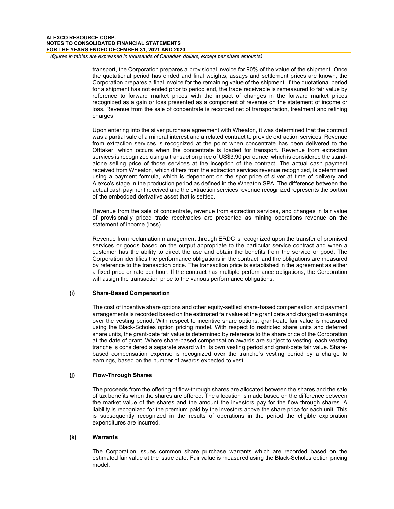transport, the Corporation prepares a provisional invoice for 90% of the value of the shipment. Once the quotational period has ended and final weights, assays and settlement prices are known, the Corporation prepares a final invoice for the remaining value of the shipment. If the quotational period for a shipment has not ended prior to period end, the trade receivable is remeasured to fair value by reference to forward market prices with the impact of changes in the forward market prices recognized as a gain or loss presented as a component of revenue on the statement of income or loss. Revenue from the sale of concentrate is recorded net of transportation, treatment and refining charges.

Upon entering into the silver purchase agreement with Wheaton, it was determined that the contract was a partial sale of a mineral interest and a related contract to provide extraction services. Revenue from extraction services is recognized at the point when concentrate has been delivered to the Offtaker, which occurs when the concentrate is loaded for transport. Revenue from extraction services is recognized using a transaction price of US\$3.90 per ounce, which is considered the standalone selling price of those services at the inception of the contract. The actual cash payment received from Wheaton, which differs from the extraction services revenue recognized, is determined using a payment formula, which is dependent on the spot price of silver at time of delivery and Alexco's stage in the production period as defined in the Wheaton SPA. The difference between the actual cash payment received and the extraction services revenue recognized represents the portion of the embedded derivative asset that is settled.

Revenue from the sale of concentrate, revenue from extraction services, and changes in fair value of provisionally priced trade receivables are presented as mining operations revenue on the statement of income (loss).

Revenue from reclamation management through ERDC is recognized upon the transfer of promised services or goods based on the output appropriate to the particular service contract and when a customer has the ability to direct the use and obtain the benefits from the service or good. The Corporation identifies the performance obligations in the contract, and the obligations are measured by reference to the transaction price. The transaction price is established in the agreement as either a fixed price or rate per hour. If the contract has multiple performance obligations, the Corporation will assign the transaction price to the various performance obligations.

#### **(i) Share-Based Compensation**

The cost of incentive share options and other equity-settled share-based compensation and payment arrangements is recorded based on the estimated fair value at the grant date and charged to earnings over the vesting period. With respect to incentive share options, grant-date fair value is measured using the Black-Scholes option pricing model. With respect to restricted share units and deferred share units, the grant-date fair value is determined by reference to the share price of the Corporation at the date of grant. Where share-based compensation awards are subject to vesting, each vesting tranche is considered a separate award with its own vesting period and grant-date fair value. Sharebased compensation expense is recognized over the tranche's vesting period by a charge to earnings, based on the number of awards expected to vest.

#### **(j) Flow-Through Shares**

The proceeds from the offering of flow-through shares are allocated between the shares and the sale of tax benefits when the shares are offered. The allocation is made based on the difference between the market value of the shares and the amount the investors pay for the flow‐through shares. A liability is recognized for the premium paid by the investors above the share price for each unit. This is subsequently recognized in the results of operations in the period the eligible exploration expenditures are incurred.

## **(k) Warrants**

The Corporation issues common share purchase warrants which are recorded based on the estimated fair value at the issue date. Fair value is measured using the Black-Scholes option pricing model.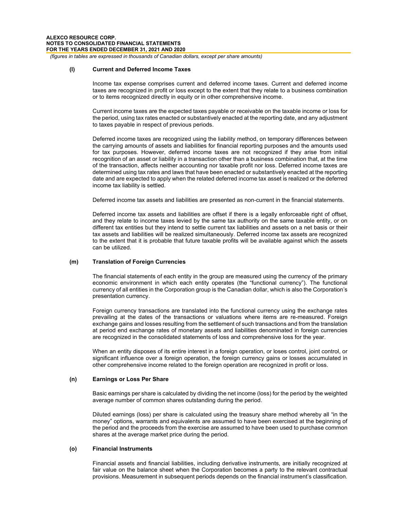#### **(l) Current and Deferred Income Taxes**

Income tax expense comprises current and deferred income taxes. Current and deferred income taxes are recognized in profit or loss except to the extent that they relate to a business combination or to items recognized directly in equity or in other comprehensive income.

Current income taxes are the expected taxes payable or receivable on the taxable income or loss for the period, using tax rates enacted or substantively enacted at the reporting date, and any adjustment to taxes payable in respect of previous periods.

Deferred income taxes are recognized using the liability method, on temporary differences between the carrying amounts of assets and liabilities for financial reporting purposes and the amounts used for tax purposes. However, deferred income taxes are not recognized if they arise from initial recognition of an asset or liability in a transaction other than a business combination that, at the time of the transaction, affects neither accounting nor taxable profit nor loss. Deferred income taxes are determined using tax rates and laws that have been enacted or substantively enacted at the reporting date and are expected to apply when the related deferred income tax asset is realized or the deferred income tax liability is settled.

Deferred income tax assets and liabilities are presented as non-current in the financial statements.

Deferred income tax assets and liabilities are offset if there is a legally enforceable right of offset, and they relate to income taxes levied by the same tax authority on the same taxable entity, or on different tax entities but they intend to settle current tax liabilities and assets on a net basis or their tax assets and liabilities will be realized simultaneously. Deferred income tax assets are recognized to the extent that it is probable that future taxable profits will be available against which the assets can be utilized.

#### **(m) Translation of Foreign Currencies**

The financial statements of each entity in the group are measured using the currency of the primary economic environment in which each entity operates (the "functional currency"). The functional currency of all entities in the Corporation group is the Canadian dollar, which is also the Corporation's presentation currency.

Foreign currency transactions are translated into the functional currency using the exchange rates prevailing at the dates of the transactions or valuations where items are re-measured. Foreign exchange gains and losses resulting from the settlement of such transactions and from the translation at period end exchange rates of monetary assets and liabilities denominated in foreign currencies are recognized in the consolidated statements of loss and comprehensive loss for the year.

When an entity disposes of its entire interest in a foreign operation, or loses control, joint control, or significant influence over a foreign operation, the foreign currency gains or losses accumulated in other comprehensive income related to the foreign operation are recognized in profit or loss.

## **(n) Earnings or Loss Per Share**

Basic earnings per share is calculated by dividing the net income (loss) for the period by the weighted average number of common shares outstanding during the period.

Diluted earnings (loss) per share is calculated using the treasury share method whereby all "in the money" options, warrants and equivalents are assumed to have been exercised at the beginning of the period and the proceeds from the exercise are assumed to have been used to purchase common shares at the average market price during the period.

## **(o) Financial Instruments**

Financial assets and financial liabilities, including derivative instruments, are initially recognized at fair value on the balance sheet when the Corporation becomes a party to the relevant contractual provisions. Measurement in subsequent periods depends on the financial instrument's classification.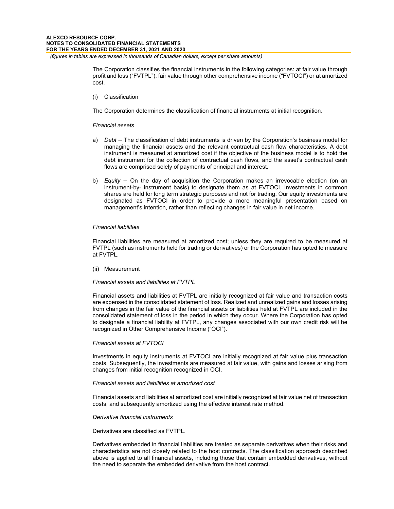The Corporation classifies the financial instruments in the following categories: at fair value through profit and loss ("FVTPL"), fair value through other comprehensive income ("FVTOCI") or at amortized cost.

(i) Classification

The Corporation determines the classification of financial instruments at initial recognition.

#### *Financial assets*

- a) *Debt* The classification of debt instruments is driven by the Corporation's business model for managing the financial assets and the relevant contractual cash flow characteristics. A debt instrument is measured at amortized cost if the objective of the business model is to hold the debt instrument for the collection of contractual cash flows, and the asset's contractual cash flows are comprised solely of payments of principal and interest.
- b) *Equity* On the day of acquisition the Corporation makes an irrevocable election (on an instrument-by- instrument basis) to designate them as at FVTOCI. Investments in common shares are held for long term strategic purposes and not for trading. Our equity investments are designated as FVTOCI in order to provide a more meaningful presentation based on management's intention, rather than reflecting changes in fair value in net income.

#### *Financial liabilities*

Financial liabilities are measured at amortized cost; unless they are required to be measured at FVTPL (such as instruments held for trading or derivatives) or the Corporation has opted to measure at FVTPL.

(ii) Measurement

#### *Financial assets and liabilities at FVTPL*

Financial assets and liabilities at FVTPL are initially recognized at fair value and transaction costs are expensed in the consolidated statement of loss. Realized and unrealized gains and losses arising from changes in the fair value of the financial assets or liabilities held at FVTPL are included in the consolidated statement of loss in the period in which they occur. Where the Corporation has opted to designate a financial liability at FVTPL, any changes associated with our own credit risk will be recognized in Other Comprehensive Income ("OCI").

#### *Financial assets at FVTOCI*

Investments in equity instruments at FVTOCI are initially recognized at fair value plus transaction costs. Subsequently, the investments are measured at fair value, with gains and losses arising from changes from initial recognition recognized in OCI.

#### *Financial assets and liabilities at amortized cost*

Financial assets and liabilities at amortized cost are initially recognized at fair value net of transaction costs, and subsequently amortized using the effective interest rate method.

#### *Derivative financial instruments*

Derivatives are classified as FVTPL.

Derivatives embedded in financial liabilities are treated as separate derivatives when their risks and characteristics are not closely related to the host contracts. The classification approach described above is applied to all financial assets, including those that contain embedded derivatives, without the need to separate the embedded derivative from the host contract.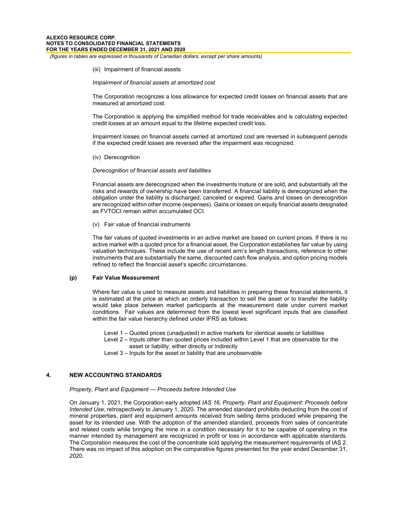(iii) Impairment of financial assets

*Impairment of financial assets at amortized cost*

The Corporation recognizes a loss allowance for expected credit losses on financial assets that are measured at amortized cost.

The Corporation is applying the simplified method for trade receivables and is calculating expected credit losses at an amount equal to the lifetime expected credit loss.

Impairment losses on financial assets carried at amortized cost are reversed in subsequent periods if the expected credit losses are reversed after the impairment was recognized.

(iv) Derecognition

#### *Derecognition of financial assets and liabilities*

Financial assets are derecognized when the investments mature or are sold, and substantially all the risks and rewards of ownership have been transferred. A financial liability is derecognized when the obligation under the liability is discharged, canceled or expired. Gains and losses on derecognition are recognized within other income (expenses). Gains or losses on equity financial assets designated as FVTOCI remain within accumulated OCI.

(v) Fair value of financial instruments

The fair values of quoted investments in an active market are based on current prices. If there is no active market with a quoted price for a financial asset, the Corporation establishes fair value by using valuation techniques. These include the use of recent arm's length transactions, reference to other instruments that are substantially the same, discounted cash flow analysis, and option pricing models refined to reflect the financial asset's specific circumstances.

#### **(p) Fair Value Measurement**

Where fair value is used to measure assets and liabilities in preparing these financial statements, it is estimated at the price at which an orderly transaction to sell the asset or to transfer the liability would take place between market participants at the measurement date under current market conditions. Fair values are determined from the lowest level significant inputs that are classified within the fair value hierarchy defined under IFRS as follows:

Level 1 – Quoted prices (unadjusted) in active markets for identical assets or liabilities

Level 2 – Inputs other than quoted prices included within Level 1 that are observable for the asset or liability, either directly or indirectly

Level 3 – Inputs for the asset or liability that are unobservable

#### **4. NEW ACCOUNTING STANDARDS**

#### *Property, Plant and Equipment — Proceeds before Intended Use*

On January 1, 2021, the Corporation early adopted *IAS 16, Property, Plant and Equipment: Proceeds before Intended Use*, retrospectively to January 1, 2020. The amended standard prohibits deducting from the cost of mineral properties, plant and equipment amounts received from selling items produced while preparing the asset for its intended use. With the adoption of the amended standard, proceeds from sales of concentrate and related costs while bringing the mine in a condition necessary for it to be capable of operating in the manner intended by management are recognized in profit or loss in accordance with applicable standards. The Corporation measures the cost of the concentrate sold applying the measurement requirements of IAS 2. There was no impact of this adoption on the comparative figures presented for the year ended December 31, 2020.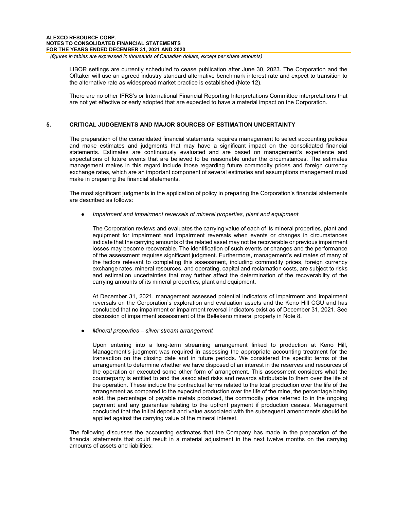LIBOR settings are currently scheduled to cease publication after June 30, 2023. The Corporation and the Offtaker will use an agreed industry standard alternative benchmark interest rate and expect to transition to the alternative rate as widespread market practice is established (Note 12).

There are no other IFRS's or International Financial Reporting Interpretations Committee interpretations that are not yet effective or early adopted that are expected to have a material impact on the Corporation.

## **5. CRITICAL JUDGEMENTS AND MAJOR SOURCES OF ESTIMATION UNCERTAINTY**

The preparation of the consolidated financial statements requires management to select accounting policies and make estimates and judgments that may have a significant impact on the consolidated financial statements. Estimates are continuously evaluated and are based on management's experience and expectations of future events that are believed to be reasonable under the circumstances. The estimates management makes in this regard include those regarding future commodity prices and foreign currency exchange rates, which are an important component of several estimates and assumptions management must make in preparing the financial statements.

The most significant judgments in the application of policy in preparing the Corporation's financial statements are described as follows:

Impairment and impairment reversals of mineral properties, plant and equipment

The Corporation reviews and evaluates the carrying value of each of its mineral properties, plant and equipment for impairment and impairment reversals when events or changes in circumstances indicate that the carrying amounts of the related asset may not be recoverable or previous impairment losses may become recoverable. The identification of such events or changes and the performance of the assessment requires significant judgment. Furthermore, management's estimates of many of the factors relevant to completing this assessment, including commodity prices, foreign currency exchange rates, mineral resources, and operating, capital and reclamation costs, are subject to risks and estimation uncertainties that may further affect the determination of the recoverability of the carrying amounts of its mineral properties, plant and equipment.

At December 31, 2021, management assessed potential indicators of impairment and impairment reversals on the Corporation's exploration and evaluation assets and the Keno Hill CGU and has concluded that no impairment or impairment reversal indicators exist as of December 31, 2021. See discussion of impairment assessment of the Bellekeno mineral property in Note 8.

● *Mineral properties – silver stream arrangement*

Upon entering into a long-term streaming arrangement linked to production at Keno Hill, Management's judgment was required in assessing the appropriate accounting treatment for the transaction on the closing date and in future periods. We considered the specific terms of the arrangement to determine whether we have disposed of an interest in the reserves and resources of the operation or executed some other form of arrangement. This assessment considers what the counterparty is entitled to and the associated risks and rewards attributable to them over the life of the operation. These include the contractual terms related to the total production over the life of the arrangement as compared to the expected production over the life of the mine, the percentage being sold, the percentage of payable metals produced, the commodity price referred to in the ongoing payment and any guarantee relating to the upfront payment if production ceases. Management concluded that the initial deposit and value associated with the subsequent amendments should be applied against the carrying value of the mineral interest.

The following discusses the accounting estimates that the Company has made in the preparation of the financial statements that could result in a material adjustment in the next twelve months on the carrying amounts of assets and liabilities: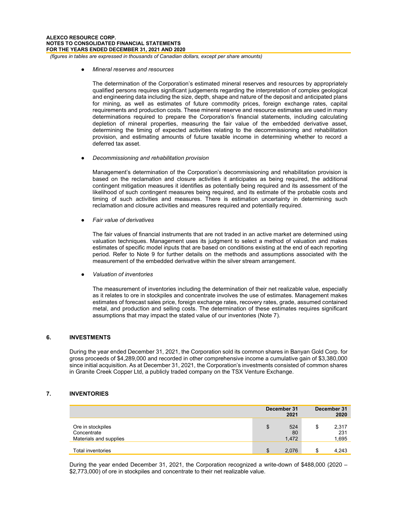● *Mineral reserves and resources*

The determination of the Corporation's estimated mineral reserves and resources by appropriately qualified persons requires significant judgements regarding the interpretation of complex geological and engineering data including the size, depth, shape and nature of the deposit and anticipated plans for mining, as well as estimates of future commodity prices, foreign exchange rates, capital requirements and production costs. These mineral reserve and resource estimates are used in many determinations required to prepare the Corporation's financial statements, including calculating depletion of mineral properties, measuring the fair value of the embedded derivative asset, determining the timing of expected activities relating to the decommissioning and rehabilitation provision, and estimating amounts of future taxable income in determining whether to record a deferred tax asset.

● *Decommissioning and rehabilitation provision*

Management's determination of the Corporation's decommissioning and rehabilitation provision is based on the reclamation and closure activities it anticipates as being required, the additional contingent mitigation measures it identifies as potentially being required and its assessment of the likelihood of such contingent measures being required, and its estimate of the probable costs and timing of such activities and measures. There is estimation uncertainty in determining such reclamation and closure activities and measures required and potentially required.

● *Fair value of derivatives*

The fair values of financial instruments that are not traded in an active market are determined using valuation techniques. Management uses its judgment to select a method of valuation and makes estimates of specific model inputs that are based on conditions existing at the end of each reporting period. Refer to Note 9 for further details on the methods and assumptions associated with the measurement of the embedded derivative within the silver stream arrangement.

● *Valuation of inventories*

The measurement of inventories including the determination of their net realizable value, especially as it relates to ore in stockpiles and concentrate involves the use of estimates. Management makes estimates of forecast sales price, foreign exchange rates, recovery rates, grade, assumed contained metal, and production and selling costs. The determination of these estimates requires significant assumptions that may impact the stated value of our inventories (Note 7).

## **6. INVESTMENTS**

During the year ended December 31, 2021, the Corporation sold its common shares in Banyan Gold Corp. for gross proceeds of \$4,289,000 and recorded in other comprehensive income a cumulative gain of \$3,380,000 since initial acquisition. As at December 31, 2021, the Corporation's investments consisted of common shares in Granite Creek Copper Ltd, a publicly traded company on the TSX Venture Exchange.

## **7. INVENTORIES**

|                                                            | December 31<br>2021      | December 31<br>2020         |  |  |
|------------------------------------------------------------|--------------------------|-----------------------------|--|--|
| Ore in stockpiles<br>Concentrate<br>Materials and supplies | \$<br>524<br>80<br>1,472 | \$<br>2,317<br>231<br>1,695 |  |  |
| Total inventories                                          | \$<br>2,076              | \$<br>4,243                 |  |  |

During the year ended December 31, 2021, the Corporation recognized a write-down of \$488,000 (2020 – \$2,773,000) of ore in stockpiles and concentrate to their net realizable value.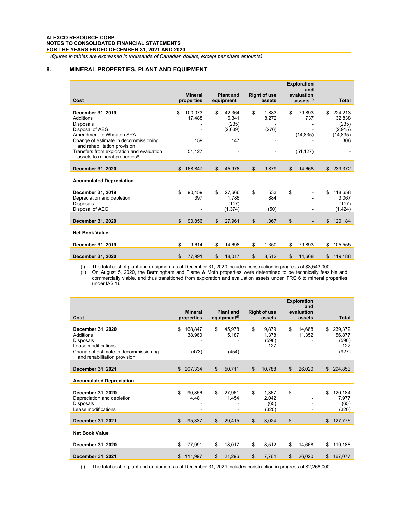## **8. MINERAL PROPERTIES, PLANT AND EQUIPMENT**

|                                                                                                                                                                                                                                                                         |                                          |                                                  |                           |                               | <b>Exploration</b><br>and                     |                                                                 |
|-------------------------------------------------------------------------------------------------------------------------------------------------------------------------------------------------------------------------------------------------------------------------|------------------------------------------|--------------------------------------------------|---------------------------|-------------------------------|-----------------------------------------------|-----------------------------------------------------------------|
| Cost                                                                                                                                                                                                                                                                    | <b>Mineral</b><br>properties             | <b>Plant and</b><br>equipment <sup>(i)</sup>     |                           | <b>Right of use</b><br>assets | evaluation<br>assets <sup>(ii)</sup>          | <b>Total</b>                                                    |
| December 31, 2019<br>Additions<br><b>Disposals</b><br>Disposal of AEG<br>Amendment to Wheaton SPA<br>Change of estimate in decommissioning<br>and rehabilitation provision<br>Transfers from exploration and evaluation<br>assets to mineral properties <sup>(ii)</sup> | \$<br>100.073<br>17,488<br>159<br>51,127 | \$<br>42.364<br>6,341<br>(235)<br>(2,639)<br>147 | \$                        | 1.883<br>8,272<br>(276)       | \$<br>79.893<br>737<br>(14, 835)<br>(51, 127) | \$<br>224.213<br>32,838<br>(235)<br>(2,915)<br>(14, 835)<br>306 |
| December 31, 2020                                                                                                                                                                                                                                                       | \$<br>168,847                            | \$<br>45,978                                     | $\mathfrak{S}$            | 9,879                         | \$<br>14,668                                  | \$<br>239,372                                                   |
| <b>Accumulated Depreciation</b>                                                                                                                                                                                                                                         |                                          |                                                  |                           |                               |                                               |                                                                 |
| December 31, 2019<br>Depreciation and depletion<br><b>Disposals</b><br>Disposal of AEG                                                                                                                                                                                  | \$<br>90.459<br>397                      | \$<br>27.666<br>1.786<br>(117)<br>(1, 374)       | \$                        | 533<br>884<br>(50)            | \$                                            | \$<br>118.658<br>3.067<br>(117)<br>(1, 424)                     |
| December 31, 2020                                                                                                                                                                                                                                                       | \$<br>90,856                             | \$<br>27,961                                     | $\boldsymbol{\mathsf{S}}$ | 1,367                         | \$<br>$\overline{\phantom{a}}$                | \$<br>120,184                                                   |
| <b>Net Book Value</b>                                                                                                                                                                                                                                                   |                                          |                                                  |                           |                               |                                               |                                                                 |
| December 31, 2019                                                                                                                                                                                                                                                       | \$<br>9,614                              | \$<br>14,698                                     | \$                        | 1,350                         | \$<br>79,893                                  | \$<br>105,555                                                   |
| December 31, 2020                                                                                                                                                                                                                                                       | \$<br>77,991                             | \$<br>18,017                                     | \$                        | 8,512                         | \$<br>14.668                                  | \$<br>119,188                                                   |

(i) The total cost of plant and equipment as at December 31, 2020 includes construction in progress of \$3,543,000. (ii) On August 5, 2020, the Bermingham and Flame & Moth properties were determined to be technically feasible and commercially viable, and thus transitioned from exploration and evaluation assets under IFRS 6 to mineral properties under IAS 16.

|                                                                                                                                             |                                                   |                                              |                |                                 | <b>Exploration</b><br>and |                |                                            |
|---------------------------------------------------------------------------------------------------------------------------------------------|---------------------------------------------------|----------------------------------------------|----------------|---------------------------------|---------------------------|----------------|--------------------------------------------|
| Cost                                                                                                                                        | <b>Mineral</b><br>properties                      | <b>Plant and</b><br>equipment <sup>(i)</sup> |                | <b>Right of use</b><br>assets   | evaluation<br>assets      |                | <b>Total</b>                               |
| December 31, 2020<br>Additions<br>Disposals<br>Lease modifications<br>Change of estimate in decommissioning<br>and rehabilitation provision | \$<br>168,847<br>38,960<br>(473)                  | \$<br>45,978<br>5,187<br>(454)               | \$             | 9,879<br>1,378<br>(596)<br>127  | \$<br>14,668<br>11,352    | \$             | 239,372<br>56,877<br>(596)<br>127<br>(927) |
| December 31, 2021                                                                                                                           | \$<br>207,334                                     | \$<br>50,711                                 | \$             | 10,788                          | \$<br>26,020              | \$             | 294,853                                    |
| <b>Accumulated Depreciation</b>                                                                                                             |                                                   |                                              |                |                                 |                           |                |                                            |
| December 31, 2020<br>Depreciation and depletion<br><b>Disposals</b><br>Lease modifications                                                  | \$<br>90,856<br>4,481<br>$\overline{\phantom{a}}$ | \$<br>27,961<br>1,454                        | \$             | 1,367<br>2,042<br>(65)<br>(320) | \$                        | \$             | 120,184<br>7,977<br>(65)<br>(320)          |
| December 31, 2021                                                                                                                           | \$<br>95,337                                      | \$<br>29,415                                 | $\mathfrak{S}$ | 3,024                           | \$                        | $\mathfrak{S}$ | 127,776                                    |
| <b>Net Book Value</b>                                                                                                                       |                                                   |                                              |                |                                 |                           |                |                                            |
| December 31, 2020                                                                                                                           | \$<br>77,991                                      | \$<br>18,017                                 | \$             | 8,512                           | \$<br>14,668              | \$             | 119,188                                    |
| December 31, 2021                                                                                                                           | \$<br>111,997                                     | \$<br>21,296                                 | \$             | 7,764                           | \$<br>26,020              | \$             | 167,077                                    |

(i) The total cost of plant and equipment as at December 31, 2021 includes construction in progress of \$2,266,000.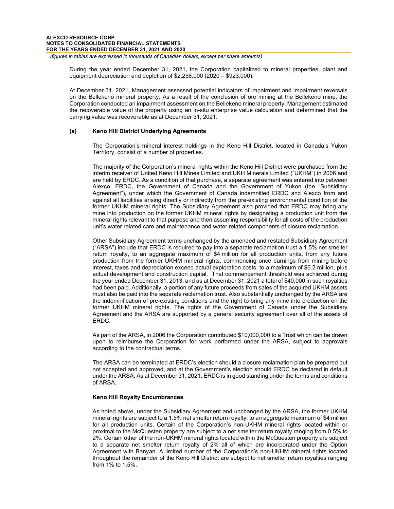During the year ended December 31, 2021, the Corporation capitalized to mineral properties, plant and equipment depreciation and depletion of \$2,258,000 (2020 – \$923,000).

At December 31, 2021, Management assessed potential indicators of impairment and impairment reversals on the Bellekeno mineral property. As a result of the conclusion of ore mining at the Bellekeno mine, the Corporation conducted an impairment assessment on the Bellekeno mineral property. Management estimated the recoverable value of the property using an in-situ enterprise value calculation and determined that the carrying value was recoverable as at December 31, 2021.

### **(a) Keno Hill District Underlying Agreements**

The Corporation's mineral interest holdings in the Keno Hill District, located in Canada's Yukon Territory, consist of a number of properties.

The majority of the Corporation's mineral rights within the Keno Hill District were purchased from the interim receiver of United Keno Hill Mines Limited and UKH Minerals Limited ("UKHM") in 2006 and are held by ERDC. As a condition of that purchase, a separate agreement was entered into between Alexco, ERDC, the Government of Canada and the Government of Yukon (the "Subsidiary Agreement"), under which the Government of Canada indemnified ERDC and Alexco from and against all liabilities arising directly or indirectly from the pre-existing environmental condition of the former UKHM mineral rights. The Subsidiary Agreement also provided that ERDC may bring any mine into production on the former UKHM mineral rights by designating a production unit from the mineral rights relevant to that purpose and then assuming responsibility for all costs of the production unit's water related care and maintenance and water related components of closure reclamation.

Other Subsidiary Agreement terms unchanged by the amended and restated Subsidiary Agreement ("ARSA") include that ERDC is required to pay into a separate reclamation trust a 1.5% net smelter return royalty, to an aggregate maximum of \$4 million for all production units, from any future production from the former UKHM mineral rights, commencing once earnings from mining before interest, taxes and depreciation exceed actual exploration costs, to a maximum of \$6.2 million, plus actual development and construction capital. That commencement threshold was achieved during the year ended December 31, 2013, and as at December 31, 2021 a total of \$40,000 in such royalties had been paid. Additionally, a portion of any future proceeds from sales of the acquired UKHM assets must also be paid into the separate reclamation trust. Also substantially unchanged by the ARSA are the indemnification of pre-existing conditions and the right to bring any mine into production on the former UKHM mineral rights. The rights of the Government of Canada under the Subsidiary Agreement and the ARSA are supported by a general security agreement over all of the assets of ERDC.

As part of the ARSA, in 2006 the Corporation contributed \$10,000,000 to a Trust which can be drawn upon to reimburse the Corporation for work performed under the ARSA, subject to approvals according to the contractual terms.

The ARSA can be terminated at ERDC's election should a closure reclamation plan be prepared but not accepted and approved, and at the Government's election should ERDC be declared in default under the ARSA. As at December 31, 2021, ERDC is in good standing under the terms and conditions of ARSA.

#### **Keno Hill Royalty Encumbrances**

As noted above, under the Subsidiary Agreement and unchanged by the ARSA, the former UKHM mineral rights are subject to a 1.5% net smelter return royalty, to an aggregate maximum of \$4 million for all production units. Certain of the Corporation's non-UKHM mineral rights located within or proximal to the McQuesten property are subject to a net smelter return royalty ranging from 0.5% to 2%. Certain other of the non-UKHM mineral rights located within the McQuesten property are subject to a separate net smelter return royalty of 2% all of which are incorporated under the Option Agreement with Banyan. A limited number of the Corporation's non-UKHM mineral rights located throughout the remainder of the Keno Hill District are subject to net smelter return royalties ranging from 1% to 1.5%.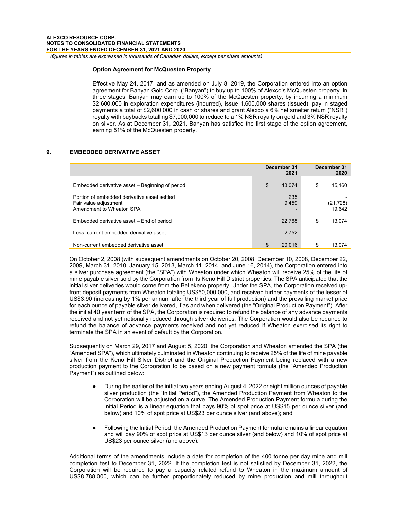#### **Option Agreement for McQuesten Property**

Effective May 24, 2017, and as amended on July 8, 2019, the Corporation entered into an option agreement for Banyan Gold Corp. ("Banyan") to buy up to 100% of Alexco's McQuesten property. In three stages, Banyan may earn up to 100% of the McQuesten property, by incurring a minimum \$2,600,000 in exploration expenditures (incurred), issue 1,600,000 shares (issued), pay in staged payments a total of \$2,600,000 in cash or shares and grant Alexco a 6% net smelter return ("NSR") royalty with buybacks totalling \$7,000,000 to reduce to a 1% NSR royalty on gold and 3% NSR royalty on silver. As at December 31, 2021, Banyan has satisfied the first stage of the option agreement, earning 51% of the McQuesten property.

## **9. EMBEDDED DERIVATIVE ASSET**

|                                                                                                   | December 31<br>2021 | December 31<br>2020 |
|---------------------------------------------------------------------------------------------------|---------------------|---------------------|
| Embedded derivative asset – Beginning of period                                                   | \$<br>13,074        | \$<br>15,160        |
| Portion of embedded derivative asset settled<br>Fair value adjustment<br>Amendment to Wheaton SPA | 235<br>9.459        | (21,728)<br>19,642  |
| Embedded derivative asset – End of period                                                         | 22,768              | \$<br>13.074        |
| Less: current embedded derivative asset                                                           | 2,752               |                     |
| Non-current embedded derivative asset                                                             | \$<br>20.016        | \$<br>13,074        |

On October 2, 2008 (with subsequent amendments on October 20, 2008, December 10, 2008, December 22, 2009, March 31, 2010, January 15, 2013, March 11, 2014, and June 16, 2014), the Corporation entered into a silver purchase agreement (the "SPA") with Wheaton under which Wheaton will receive 25% of the life of mine payable silver sold by the Corporation from its Keno Hill District properties. The SPA anticipated that the initial silver deliveries would come from the Bellekeno property. Under the SPA, the Corporation received upfront deposit payments from Wheaton totaling US\$50,000,000, and received further payments of the lesser of US\$3.90 (increasing by 1% per annum after the third year of full production) and the prevailing market price for each ounce of payable silver delivered, if as and when delivered (the "Original Production Payment"). After the initial 40 year term of the SPA, the Corporation is required to refund the balance of any advance payments received and not yet notionally reduced through silver deliveries. The Corporation would also be required to refund the balance of advance payments received and not yet reduced if Wheaton exercised its right to terminate the SPA in an event of default by the Corporation.

Subsequently on March 29, 2017 and August 5, 2020, the Corporation and Wheaton amended the SPA (the "Amended SPA"), which ultimately culminated in Wheaton continuing to receive 25% of the life of mine payable silver from the Keno Hill Silver District and the Original Production Payment being replaced with a new production payment to the Corporation to be based on a new payment formula (the "Amended Production Payment") as outlined below:

- During the earlier of the initial two years ending August 4, 2022 or eight million ounces of payable silver production (the "Initial Period"), the Amended Production Payment from Wheaton to the Corporation will be adjusted on a curve. The Amended Production Payment formula during the Initial Period is a linear equation that pays 90% of spot price at US\$15 per ounce silver (and below) and 10% of spot price at US\$23 per ounce silver (and above); and
- Following the Initial Period, the Amended Production Payment formula remains a linear equation and will pay 90% of spot price at US\$13 per ounce silver (and below) and 10% of spot price at US\$23 per ounce silver (and above).

Additional terms of the amendments include a date for completion of the 400 tonne per day mine and mill completion test to December 31, 2022. If the completion test is not satisfied by December 31, 2022, the Corporation will be required to pay a capacity related refund to Wheaton in the maximum amount of US\$8,788,000, which can be further proportionately reduced by mine production and mill throughput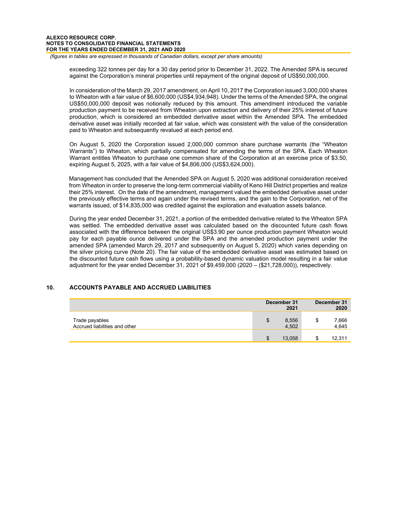exceeding 322 tonnes per day for a 30 day period prior to December 31, 2022. The Amended SPA is secured against the Corporation's mineral properties until repayment of the original deposit of US\$50,000,000.

In consideration of the March 29, 2017 amendment, on April 10, 2017 the Corporation issued 3,000,000 shares to Wheaton with a fair value of \$6,600,000 (US\$4,934,948). Under the terms of the Amended SPA, the original US\$50,000,000 deposit was notionally reduced by this amount. This amendment introduced the variable production payment to be received from Wheaton upon extraction and delivery of their 25% interest of future production, which is considered an embedded derivative asset within the Amended SPA. The embedded derivative asset was initially recorded at fair value, which was consistent with the value of the consideration paid to Wheaton and subsequently revalued at each period end.

On August 5, 2020 the Corporation issued 2,000,000 common share purchase warrants (the "Wheaton Warrants") to Wheaton, which partially compensated for amending the terms of the SPA. Each Wheaton Warrant entitles Wheaton to purchase one common share of the Corporation at an exercise price of \$3.50, expiring August 5, 2025, with a fair value of \$4,806,000 (US\$3,624,000).

Management has concluded that the Amended SPA on August 5, 2020 was additional consideration received from Wheaton in order to preserve the long-term commercial viability of Keno Hill District properties and realize their 25% interest. On the date of the amendment, management valued the embedded derivative asset under the previously effective terms and again under the revised terms, and the gain to the Corporation, net of the warrants issued, of \$14,835,000 was credited against the exploration and evaluation assets balance.

During the year ended December 31, 2021, a portion of the embedded derivative related to the Wheaton SPA was settled. The embedded derivative asset was calculated based on the discounted future cash flows associated with the difference between the original US\$3.90 per ounce production payment Wheaton would pay for each payable ounce delivered under the SPA and the amended production payment under the amended SPA (amended March 29, 2017 and subsequently on August 5, 2020) which varies depending on the silver pricing curve (Note 20). The fair value of the embedded derivative asset was estimated based on the discounted future cash flows using a probability-based dynamic valuation model resulting in a fair value adjustment for the year ended December 31, 2021 of \$9,459,000 (2020 – (\$21,728,000)), respectively.

## **10. ACCOUNTS PAYABLE AND ACCRUED LIABILITIES**

|                                                 | December 31<br>2021  | December 31<br>2020  |
|-------------------------------------------------|----------------------|----------------------|
| Trade payables<br>Accrued liabilities and other | \$<br>8,556<br>4,502 | \$<br>7,666<br>4,645 |
|                                                 | 13,058               | 12,311               |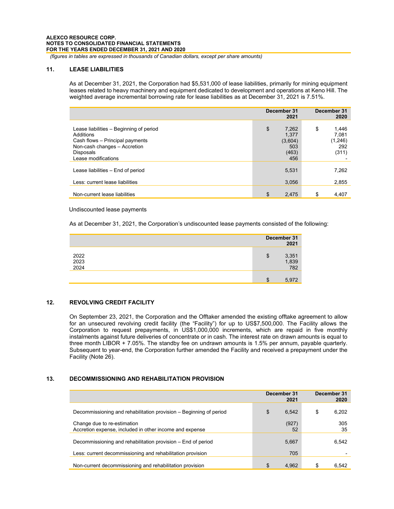#### **11. LEASE LIABILITIES**

As at December 31, 2021, the Corporation had \$5,531,000 of lease liabilities, primarily for mining equipment leases related to heavy machinery and equipment dedicated to development and operations at Keno Hill. The weighted average incremental borrowing rate for lease liabilities as at December 31, 2021 is 7.51%.

|                                                                                                                                                                    | December 31<br>2021                                    | December 31<br>2020                              |
|--------------------------------------------------------------------------------------------------------------------------------------------------------------------|--------------------------------------------------------|--------------------------------------------------|
| Lease liabilities - Beginning of period<br>Additions<br>Cash flows - Principal payments<br>Non-cash changes - Accretion<br><b>Disposals</b><br>Lease modifications | \$<br>7,262<br>1.377<br>(3,604)<br>503<br>(463)<br>456 | \$<br>1,446<br>7.081<br>(1, 246)<br>292<br>(311) |
| Lease liabilities - End of period                                                                                                                                  | 5,531                                                  | 7,262                                            |
| Less: current lease liabilities                                                                                                                                    | 3,056                                                  | 2,855                                            |
| Non-current lease liabilities                                                                                                                                      | \$<br>2.475                                            | \$<br>4,407                                      |

#### Undiscounted lease payments

As at December 31, 2021, the Corporation's undiscounted lease payments consisted of the following:

|                      | December 31<br>2021         |
|----------------------|-----------------------------|
| 2022<br>2023<br>2024 | \$<br>3,351<br>1,839<br>782 |
|                      | \$<br>5,972                 |

# **12. REVOLVING CREDIT FACILITY**

On September 23, 2021, the Corporation and the Offtaker amended the existing offtake agreement to allow for an unsecured revolving credit facility (the "Facility") for up to US\$7,500,000. The Facility allows the Corporation to request prepayments, in US\$1,000,000 increments, which are repaid in five monthly instalments against future deliveries of concentrate or in cash. The interest rate on drawn amounts is equal to three month LIBOR + 7.05%. The standby fee on undrawn amounts is 1.5% per annum, payable quarterly. Subsequent to year-end, the Corporation further amended the Facility and received a prepayment under the Facility (Note 26).

## **13. DECOMMISSIONING AND REHABILITATION PROVISION**

|                                                                                        | December 31<br>2021 | December 31<br>2020 |
|----------------------------------------------------------------------------------------|---------------------|---------------------|
| Decommissioning and rehabilitation provision – Beginning of period                     | \$<br>6.542         | \$<br>6,202         |
| Change due to re-estimation<br>Accretion expense, included in other income and expense | (927)<br>52         | 305<br>35           |
| Decommissioning and rehabilitation provision – End of period                           | 5,667               | 6.542               |
| Less: current decommissioning and rehabilitation provision                             | 705                 |                     |
| Non-current decommissioning and rehabilitation provision                               | \$<br>4,962         | \$<br>6.542         |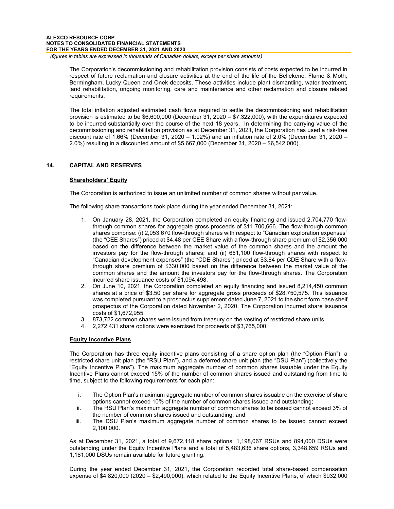The Corporation's decommissioning and rehabilitation provision consists of costs expected to be incurred in respect of future reclamation and closure activities at the end of the life of the Bellekeno, Flame & Moth, Bermingham, Lucky Queen and Onek deposits. These activities include plant dismantling, water treatment, land rehabilitation, ongoing monitoring, care and maintenance and other reclamation and closure related requirements.

The total inflation adjusted estimated cash flows required to settle the decommissioning and rehabilitation provision is estimated to be \$6,600,000 (December 31, 2020 – \$7,322,000), with the expenditures expected to be incurred substantially over the course of the next 18 years. In determining the carrying value of the decommissioning and rehabilitation provision as at December 31, 2021, the Corporation has used a risk-free discount rate of 1.66% (December 31, 2020 – 1.02%) and an inflation rate of 2.0% (December 31, 2020 – 2.0%) resulting in a discounted amount of \$5,667,000 (December 31, 2020 – \$6,542,000).

## **14. CAPITAL AND RESERVES**

#### **Shareholders' Equity**

The Corporation is authorized to issue an unlimited number of common shares without par value.

The following share transactions took place during the year ended December 31, 2021:

- 1. On January 28, 2021, the Corporation completed an equity financing and issued 2,704,770 flowthrough common shares for aggregate gross proceeds of \$11,700,666. The flow-through common shares comprise: (i) 2,053,670 flow-through shares with respect to "Canadian exploration expenses" (the "CEE Shares") priced at \$4.48 per CEE Share with a flow-through share premium of \$2,356,000 based on the difference between the market value of the common shares and the amount the investors pay for the flow-through shares; and (ii) 651,100 flow-through shares with respect to "Canadian development expenses" (the "CDE Shares") priced at \$3.84 per CDE Share with a flowthrough share premium of \$330,000 based on the difference between the market value of the common shares and the amount the investors pay for the flow-through shares. The Corporation incurred share issuance costs of \$1,094,498.
- 2. On June 10, 2021, the Corporation completed an equity financing and issued 8,214,450 common shares at a price of \$3.50 per share for aggregate gross proceeds of \$28,750,575. This issuance was completed pursuant to a prospectus supplement dated June 7, 2021 to the short form base shelf prospectus of the Corporation dated November 2, 2020. The Corporation incurred share issuance costs of \$1,672,955.
- 3. 873,722 common shares were issued from treasury on the vesting of restricted share units.
- 4. 2,272,431 share options were exercised for proceeds of \$3,765,000.

#### **Equity Incentive Plans**

The Corporation has three equity incentive plans consisting of a share option plan (the "Option Plan"), a restricted share unit plan (the "RSU Plan"), and a deferred share unit plan (the "DSU Plan") (collectively the "Equity Incentive Plans"). The maximum aggregate number of common shares issuable under the Equity Incentive Plans cannot exceed 15% of the number of common shares issued and outstanding from time to time, subject to the following requirements for each plan:

- i. The Option Plan's maximum aggregate number of common shares issuable on the exercise of share options cannot exceed 10% of the number of common shares issued and outstanding;
- ii. The RSU Plan's maximum aggregate number of common shares to be issued cannot exceed 3% of the number of common shares issued and outstanding; and
- iii. The DSU Plan's maximum aggregate number of common shares to be issued cannot exceed 2,100,000.

As at December 31, 2021, a total of 9,672,118 share options, 1,198,067 RSUs and 894,000 DSUs were outstanding under the Equity Incentive Plans and a total of 5,483,636 share options, 3,348,659 RSUs and 1,181,000 DSUs remain available for future granting.

During the year ended December 31, 2021, the Corporation recorded total share-based compensation expense of \$4,820,000 (2020 – \$2,490,000), which related to the Equity Incentive Plans, of which \$932,000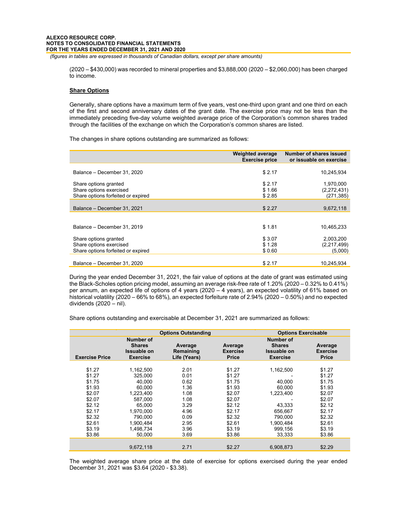(2020 – \$430,000) was recorded to mineral properties and \$3,888,000 (2020 – \$2,060,000) has been charged to income.

#### **Share Options**

Generally, share options have a maximum term of five years, vest one-third upon grant and one third on each of the first and second anniversary dates of the grant date. The exercise price may not be less than the immediately preceding five-day volume weighted average price of the Corporation's common shares traded through the facilities of the exchange on which the Corporation's common shares are listed.

The changes in share options outstanding are summarized as follows:

|                                                                                        | <b>Weighted average</b><br><b>Exercise price</b> | Number of shares issued<br>or issuable on exercise |
|----------------------------------------------------------------------------------------|--------------------------------------------------|----------------------------------------------------|
| Balance – December 31, 2020                                                            | \$2.17                                           | 10,245,934                                         |
| Share options granted<br>Share options exercised<br>Share options forfeited or expired | \$2.17<br>\$1.66<br>\$2.85                       | 1,970,000<br>(2,272,431)<br>(271, 385)             |
| Balance - December 31, 2021                                                            | \$2.27                                           | 9,672,118                                          |
|                                                                                        |                                                  |                                                    |
| Balance - December 31, 2019                                                            | \$1.81                                           | 10.465.233                                         |
| Share options granted<br>Share options exercised<br>Share options forfeited or expired | \$3.07<br>\$1.28<br>\$0.60                       | 2,003,200<br>(2,217,499)<br>(5,000)                |
| Balance – December 31, 2020                                                            | \$2.17                                           | 10.245.934                                         |

During the year ended December 31, 2021, the fair value of options at the date of grant was estimated using the Black-Scholes option pricing model, assuming an average risk-free rate of 1.20% (2020 – 0.32% to 0.41%) per annum, an expected life of options of 4 years (2020 – 4 years), an expected volatility of 61% based on historical volatility (2020 – 66% to 68%), an expected forfeiture rate of 2.94% (2020 – 0.50%) and no expected dividends (2020 – nil).

Share options outstanding and exercisable at December 31, 2021 are summarized as follows:

|                                                                                                                      |                                                                                                                                        | <b>Options Outstanding</b>                                                                   |                                                                                                                      | <b>Options Exercisable</b>                                                                                   |                                                                                                                      |  |
|----------------------------------------------------------------------------------------------------------------------|----------------------------------------------------------------------------------------------------------------------------------------|----------------------------------------------------------------------------------------------|----------------------------------------------------------------------------------------------------------------------|--------------------------------------------------------------------------------------------------------------|----------------------------------------------------------------------------------------------------------------------|--|
| <b>Exercise Price</b>                                                                                                | Number of<br><b>Shares</b><br>Issuable on<br><b>Exercise</b>                                                                           | Average<br>Remaining<br>Life (Years)                                                         | Average<br><b>Exercise</b><br><b>Price</b>                                                                           | Number of<br><b>Shares</b><br>Issuable on<br><b>Exercise</b>                                                 | Average<br><b>Exercise</b><br><b>Price</b>                                                                           |  |
| \$1.27<br>\$1.27<br>\$1.75<br>\$1.93<br>\$2.07<br>\$2.07<br>\$2.12<br>\$2.17<br>\$2.32<br>\$2.61<br>\$3.19<br>\$3.86 | 1.162.500<br>325.000<br>40.000<br>60.000<br>1,223,400<br>587.000<br>65.000<br>1.970.000<br>790.000<br>1,900,484<br>1.498.734<br>50,000 | 2.01<br>0.01<br>0.62<br>1.36<br>1.08<br>1.08<br>3.29<br>4.96<br>0.09<br>2.95<br>3.96<br>3.69 | \$1.27<br>\$1.27<br>\$1.75<br>\$1.93<br>\$2.07<br>\$2.07<br>\$2.12<br>\$2.17<br>\$2.32<br>\$2.61<br>\$3.19<br>\$3.86 | 1.162.500<br>40.000<br>60.000<br>1.223.400<br>43.333<br>656.667<br>790.000<br>1.900.484<br>999.156<br>33,333 | \$1.27<br>\$1.27<br>\$1.75<br>\$1.93<br>\$2.07<br>\$2.07<br>\$2.12<br>\$2.17<br>\$2.32<br>\$2.61<br>\$3.19<br>\$3.86 |  |
|                                                                                                                      | 9,672,118                                                                                                                              | 2.71                                                                                         | \$2.27                                                                                                               | 6,908,873                                                                                                    | \$2.29                                                                                                               |  |

The weighted average share price at the date of exercise for options exercised during the year ended December 31, 2021 was \$3.64 (2020 - \$3.38).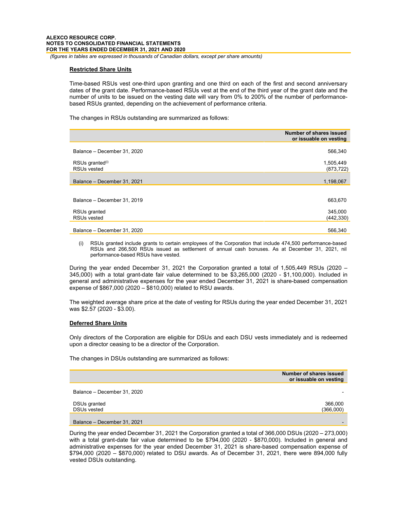#### **Restricted Share Units**

Time-based RSUs vest one-third upon granting and one third on each of the first and second anniversary dates of the grant date. Performance-based RSUs vest at the end of the third year of the grant date and the number of units to be issued on the vesting date will vary from 0% to 200% of the number of performancebased RSUs granted, depending on the achievement of performance criteria.

The changes in RSUs outstanding are summarized as follows:

|                             | Number of shares issued<br>or issuable on vesting |
|-----------------------------|---------------------------------------------------|
| Balance - December 31, 2020 | 566,340                                           |
|                             |                                                   |
| RSUs granted $(i)$          | 1,505,449                                         |
| <b>RSUs vested</b>          | (873, 722)                                        |
|                             |                                                   |
| Balance - December 31, 2021 | 1,198,067                                         |
|                             |                                                   |
| Balance - December 31, 2019 | 663,670                                           |
|                             |                                                   |
| RSUs granted                | 345,000                                           |
| <b>RSUs vested</b>          | (442,330)                                         |
|                             |                                                   |
| Balance - December 31, 2020 | 566.340                                           |

(i) RSUs granted include grants to certain employees of the Corporation that include 474,500 performance-based RSUs and 266,500 RSUs issued as settlement of annual cash bonuses. As at December 31, 2021, nil performance-based RSUs have vested.

During the year ended December 31, 2021 the Corporation granted a total of 1,505,449 RSUs (2020 – 345,000) with a total grant-date fair value determined to be \$3,265,000 (2020 - \$1,100,000). Included in general and administrative expenses for the year ended December 31, 2021 is share-based compensation expense of \$867,000 (2020 – \$810,000) related to RSU awards.

The weighted average share price at the date of vesting for RSUs during the year ended December 31, 2021 was \$2.57 (2020 - \$3.00).

#### **Deferred Share Units**

Only directors of the Corporation are eligible for DSUs and each DSU vests immediately and is redeemed upon a director ceasing to be a director of the Corporation.

The changes in DSUs outstanding are summarized as follows:

|                                    | Number of shares issued<br>or issuable on vesting |
|------------------------------------|---------------------------------------------------|
| Balance - December 31, 2020        |                                                   |
| DSUs granted<br><b>DSUs vested</b> | 366,000<br>(366,000)                              |
| Balance - December 31, 2021        |                                                   |

During the year ended December 31, 2021 the Corporation granted a total of 366,000 DSUs (2020 – 273,000) with a total grant-date fair value determined to be \$794,000 (2020 - \$870,000). Included in general and administrative expenses for the year ended December 31, 2021 is share-based compensation expense of \$794,000 (2020 – \$870,000) related to DSU awards. As of December 31, 2021, there were 894,000 fully vested DSUs outstanding.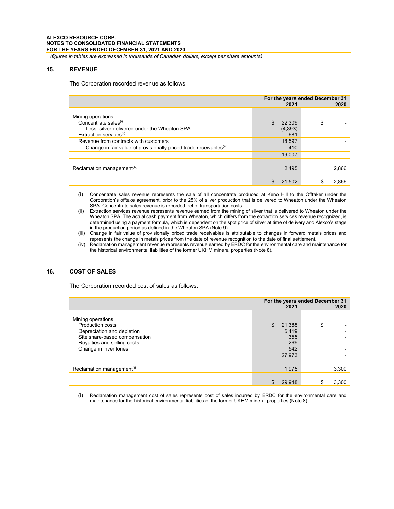#### **15. REVENUE**

The Corporation recorded revenue as follows:

|                                                                                                                                              | For the years ended December 31<br>2021 |                           |    | 2020  |
|----------------------------------------------------------------------------------------------------------------------------------------------|-----------------------------------------|---------------------------|----|-------|
| Mining operations<br>Concentrate sales <sup>(i)</sup><br>Less: silver delivered under the Wheaton SPA<br>Extraction services <sup>(ii)</sup> | \$                                      | 22,309<br>(4, 393)<br>681 | \$ |       |
| Revenue from contracts with customers<br>Change in fair value of provisionally priced trade receivables <sup>(iii)</sup>                     |                                         | 18,597<br>410             |    |       |
|                                                                                                                                              |                                         | 19,007                    |    |       |
| Reclamation management <sup>(iv)</sup>                                                                                                       |                                         | 2,495                     |    | 2,866 |
|                                                                                                                                              |                                         | 21,502                    |    | 2.866 |

- (i) Concentrate sales revenue represents the sale of all concentrate produced at Keno Hill to the Offtaker under the Corporation's offtake agreement, prior to the 25% of silver production that is delivered to Wheaton under the Wheaton SPA. Concentrate sales revenue is recorded net of transportation costs.
- (ii) Extraction services revenue represents revenue earned from the mining of silver that is delivered to Wheaton under the Wheaton SPA. The actual cash payment from Wheaton, which differs from the extraction services revenue recognized, is determined using a payment formula, which is dependent on the spot price of silver at time of delivery and Alexco's stage in the production period as defined in the Wheaton SPA (Note 9).
- (iii) Change in fair value of provisionally priced trade receivables is attributable to changes in forward metals prices and represents the change in metals prices from the date of revenue recognition to the date of final settlement.
- (iv) Reclamation management revenue represents revenue earned by ERDC for the environmental care and maintenance for the historical environmental liabilities of the former UKHM mineral properties (Note 8).

## **16. COST OF SALES**

The Corporation recorded cost of sales as follows:

|                                                                                                                                                              | For the years ended December 31<br>2021<br>2020 |                                      |    |       |
|--------------------------------------------------------------------------------------------------------------------------------------------------------------|-------------------------------------------------|--------------------------------------|----|-------|
| Mining operations<br>Production costs<br>Depreciation and depletion<br>Site share-based compensation<br>Royalties and selling costs<br>Change in inventories | \$                                              | 21,388<br>5,419<br>355<br>269<br>542 | \$ |       |
|                                                                                                                                                              |                                                 | 27,973                               |    |       |
| Reclamation management <sup>(i)</sup>                                                                                                                        |                                                 | 1,975                                |    | 3,300 |
|                                                                                                                                                              |                                                 | 29,948                               |    | 3,300 |

(i) Reclamation management cost of sales represents cost of sales incurred by ERDC for the environmental care and maintenance for the historical environmental liabilities of the former UKHM mineral properties (Note 8).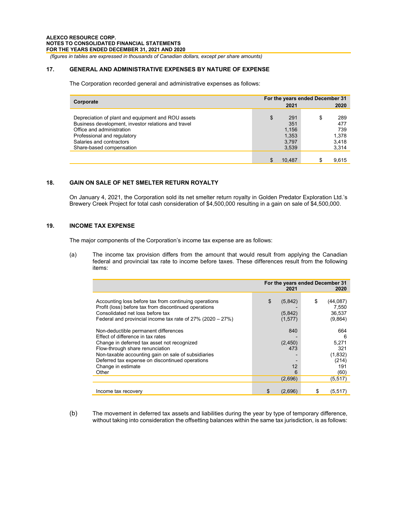## **17. GENERAL AND ADMINISTRATIVE EXPENSES BY NATURE OF EXPENSE**

The Corporation recorded general and administrative expenses as follows:

| Corporate                                                                                                                                                                                                                     | For the years ended December 31<br>2020<br>2021 |                                                |   |                                              |
|-------------------------------------------------------------------------------------------------------------------------------------------------------------------------------------------------------------------------------|-------------------------------------------------|------------------------------------------------|---|----------------------------------------------|
| Depreciation of plant and equipment and ROU assets<br>Business development, investor relations and travel<br>Office and administration<br>Professional and regulatory<br>Salaries and contractors<br>Share-based compensation | \$                                              | 291<br>351<br>1,156<br>1.353<br>3.797<br>3,539 | S | 289<br>477<br>739<br>1,378<br>3,418<br>3,314 |
|                                                                                                                                                                                                                               |                                                 | 10.487                                         |   | 9.615                                        |

#### **18. GAIN ON SALE OF NET SMELTER RETURN ROYALTY**

On January 4, 2021, the Corporation sold its net smelter return royalty in Golden Predator Exploration Ltd.'s Brewery Creek Project for total cash consideration of \$4,500,000 resulting in a gain on sale of \$4,500,000.

## **19. INCOME TAX EXPENSE**

The major components of the Corporation's income tax expense are as follows:

(a) The income tax provision differs from the amount that would result from applying the Canadian federal and provincial tax rate to income before taxes. These differences result from the following items:

|                                                                                                                                                                                                                                                                                                      | For the years ended December 31<br>2021<br>2020 |                                   |    |                                                             |
|------------------------------------------------------------------------------------------------------------------------------------------------------------------------------------------------------------------------------------------------------------------------------------------------------|-------------------------------------------------|-----------------------------------|----|-------------------------------------------------------------|
| Accounting loss before tax from continuing operations<br>Profit (loss) before tax from discontinued operations<br>Consolidated net loss before tax<br>Federal and provincial income tax rate of $27\%$ (2020 – 27%)                                                                                  | \$                                              | (5,842)<br>(5,842)<br>(1, 577)    | \$ | (44, 087)<br>7,550<br>36,537<br>(9,864)                     |
| Non-deductible permanent differences<br>Effect of difference in tax rates<br>Change in deferred tax asset not recognized<br>Flow-through share renunciation<br>Non-taxable accounting gain on sale of subsidiaries<br>Deferred tax expense on discontinued operations<br>Change in estimate<br>Other |                                                 | 840<br>(2, 450)<br>473<br>12<br>6 |    | 664<br>6<br>5,271<br>321<br>(1,832)<br>(214)<br>191<br>(60) |
|                                                                                                                                                                                                                                                                                                      |                                                 | (2,696)                           |    | (5,517)                                                     |
| Income tax recovery                                                                                                                                                                                                                                                                                  | \$                                              | (2,696)                           |    | (5,517)                                                     |

(b) The movement in deferred tax assets and liabilities during the year by type of temporary difference, without taking into consideration the offsetting balances within the same tax jurisdiction, is as follows: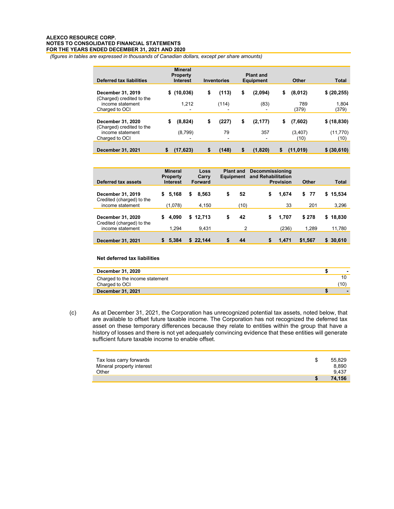#### **ALEXCO RESOURCE CORP. NOTES TO CONSOLIDATED FINANCIAL STATEMENTS FOR THE YEARS ENDED DECEMBER 31, 2021 AND 2020**

*(figures in tables are expressed in thousands of Canadian dollars, except per share amounts)*

| Deferred tax liabilities                                        | <b>Mineral</b><br><b>Property</b><br>Interest | <b>Inventories</b>             | <b>Plant and</b><br><b>Equipment</b> | Other           | <b>Total</b>      |
|-----------------------------------------------------------------|-----------------------------------------------|--------------------------------|--------------------------------------|-----------------|-------------------|
| December 31, 2019<br>(Charged) credited to the                  | \$(10,036)                                    | \$<br>(113)                    | \$<br>(2,094)                        | (8,012)<br>\$   | \$ (20, 255)      |
| income statement<br>Charged to OCI                              | 1.212<br>٠                                    | (114)<br>-                     | (83)<br>-                            | 789<br>(379)    | 1,804<br>(379)    |
| December 31, 2020                                               | (8, 824)<br>\$                                | \$<br>(227)                    | \$<br>(2, 177)                       | (7,602)<br>\$   | \$ (18,830)       |
| (Charged) credited to the<br>income statement<br>Charged to OCI | (8,799)<br>-                                  | 79<br>$\overline{\phantom{0}}$ | 357                                  | (3,407)<br>(10) | (11, 770)<br>(10) |
| December 31, 2021                                               | (17,623)<br>\$                                | (148)<br>\$                    | (1,820)                              | \$<br>(11, 019) | \$ (30,610)       |

| Deferred tax assets                                                | <b>Mineral</b><br><b>Property</b><br>Interest | Loss<br>Carry<br>Forward | <b>Plant and</b><br>Equipment | <b>Decommissioning</b><br>and Rehabilitation<br><b>Provision</b> | Other            | Total              |
|--------------------------------------------------------------------|-----------------------------------------------|--------------------------|-------------------------------|------------------------------------------------------------------|------------------|--------------------|
| December 31, 2019<br>Credited (charged) to the<br>income statement | \$5,168<br>(1,078)                            | 8.563<br>\$<br>4,150     | 52<br>\$<br>(10)              | \$<br>1,674<br>33                                                | -77<br>\$<br>201 | \$15,534<br>3,296  |
| December 31, 2020<br>Credited (charged) to the<br>income statement | 4.090<br>S<br>1.294                           | 12,713<br>\$<br>9.431    | 42<br>\$<br>2                 | \$<br>1,707<br>(236)                                             | \$278<br>1.289   | \$18,830<br>11,780 |
| December 31, 2021                                                  | 5.384                                         | 22.144<br>S.             | \$<br>44                      | \$<br>1.471                                                      | \$1,567          | \$30,610           |

## **Net deferred tax liabilities**

| December 31, 2020               |      |
|---------------------------------|------|
| Charged to the income statement |      |
| Charged to OCI                  | '10) |
| December 31, 2021               |      |

(c) As at December 31, 2021, the Corporation has unrecognized potential tax assets, noted below, that are available to offset future taxable income. The Corporation has not recognized the deferred tax asset on these temporary differences because they relate to entities within the group that have a history of losses and there is not yet adequately convincing evidence that these entities will generate sufficient future taxable income to enable offset.

| Tax loss carry forwards<br>Mineral property interest<br>Other | 55.829<br>8,890<br>9.437 |
|---------------------------------------------------------------|--------------------------|
|                                                               | 74.156                   |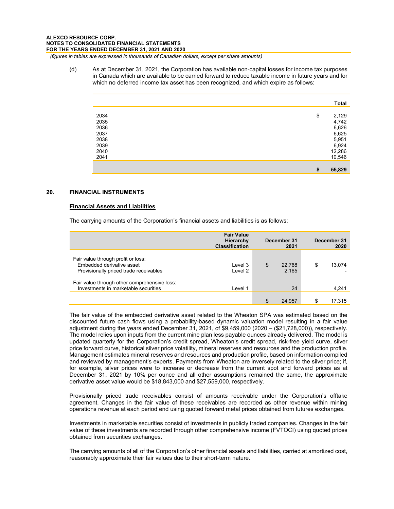(d) As at December 31, 2021, the Corporation has available non-capital losses for income tax purposes in Canada which are available to be carried forward to reduce taxable income in future years and for which no deferred income tax asset has been recognized, and which expire as follows:

|      |    | <b>Total</b> |
|------|----|--------------|
|      |    |              |
| 2034 | \$ | 2,129        |
| 2035 |    | 4,742        |
| 2036 |    | 6,626        |
| 2037 |    | 6,625        |
| 2038 |    | 5,951        |
| 2039 |    | 6,924        |
| 2040 |    | 12,286       |
| 2041 |    | 10,546       |
|      |    |              |
|      | œ  | 55,829       |

## **20. FINANCIAL INSTRUMENTS**

#### **Financial Assets and Liabilities**

The carrying amounts of the Corporation's financial assets and liabilities is as follows:

|                                                                                                           | <b>Fair Value</b><br>Hierarchy<br><b>Classification</b> | December 31<br>2021   | December 31<br>2020 |        |  |
|-----------------------------------------------------------------------------------------------------------|---------------------------------------------------------|-----------------------|---------------------|--------|--|
| Fair value through profit or loss:<br>Embedded derivative asset<br>Provisionally priced trade receivables | Level 3<br>Level 2                                      | \$<br>22.768<br>2.165 | \$                  | 13.074 |  |
| Fair value through other comprehensive loss:<br>Investments in marketable securities                      | Level 1                                                 | 24                    |                     | 4,241  |  |
|                                                                                                           |                                                         | \$<br>24,957          | \$                  | 17,315 |  |

The fair value of the embedded derivative asset related to the Wheaton SPA was estimated based on the discounted future cash flows using a probability-based dynamic valuation model resulting in a fair value adjustment during the years ended December 31, 2021, of \$9,459,000 (2020 – (\$21,728,000)), respectively. The model relies upon inputs from the current mine plan less payable ounces already delivered. The model is updated quarterly for the Corporation's credit spread, Wheaton's credit spread, risk-free yield curve, silver price forward curve, historical silver price volatility, mineral reserves and resources and the production profile. Management estimates mineral reserves and resources and production profile, based on information compiled and reviewed by management's experts. Payments from Wheaton are inversely related to the silver price; if, for example, silver prices were to increase or decrease from the current spot and forward prices as at December 31, 2021 by 10% per ounce and all other assumptions remained the same, the approximate derivative asset value would be \$18,843,000 and \$27,559,000, respectively.

Provisionally priced trade receivables consist of amounts receivable under the Corporation's offtake agreement. Changes in the fair value of these receivables are recorded as other revenue within mining operations revenue at each period end using quoted forward metal prices obtained from futures exchanges.

Investments in marketable securities consist of investments in publicly traded companies. Changes in the fair value of these investments are recorded through other comprehensive income (FVTOCI) using quoted prices obtained from securities exchanges.

The carrying amounts of all of the Corporation's other financial assets and liabilities, carried at amortized cost, reasonably approximate their fair values due to their short-term nature.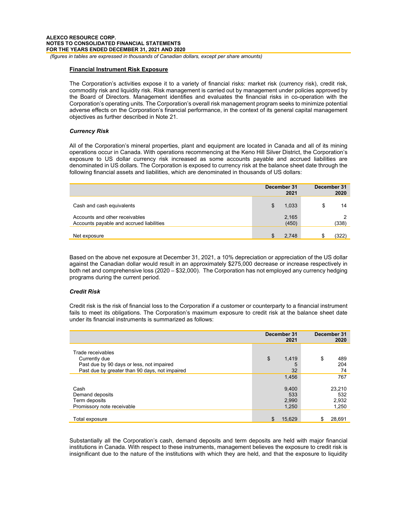#### **Financial Instrument Risk Exposure**

The Corporation's activities expose it to a variety of financial risks: market risk (currency risk), credit risk, commodity risk and liquidity risk. Risk management is carried out by management under policies approved by the Board of Directors. Management identifies and evaluates the financial risks in co-operation with the Corporation's operating units. The Corporation's overall risk management program seeks to minimize potential adverse effects on the Corporation's financial performance, in the context of its general capital management objectives as further described in Note 21.

#### *Currency Risk*

All of the Corporation's mineral properties, plant and equipment are located in Canada and all of its mining operations occur in Canada. With operations recommencing at the Keno Hill Silver District, the Corporation's exposure to US dollar currency risk increased as some accounts payable and accrued liabilities are denominated in US dollars. The Corporation is exposed to currency risk at the balance sheet date through the following financial assets and liabilities, which are denominated in thousands of US dollars:

|                                                                            |   | December 31<br>2021 | December 31<br>2020 |
|----------------------------------------------------------------------------|---|---------------------|---------------------|
| Cash and cash equivalents                                                  | S | 1,033               | 14                  |
| Accounts and other receivables<br>Accounts payable and accrued liabilities |   | 2,165<br>(450)      | (338)               |
| Net exposure                                                               |   | 2.748               | (322)               |

Based on the above net exposure at December 31, 2021, a 10% depreciation or appreciation of the US dollar against the Canadian dollar would result in an approximately \$275,000 decrease or increase respectively in both net and comprehensive loss (2020 – \$32,000). The Corporation has not employed any currency hedging programs during the current period.

#### *Credit Risk*

Credit risk is the risk of financial loss to the Corporation if a customer or counterparty to a financial instrument fails to meet its obligations. The Corporation's maximum exposure to credit risk at the balance sheet date under its financial instruments is summarized as follows:

|                                                                                             | December 31<br>2021 | December 31<br>2020 |
|---------------------------------------------------------------------------------------------|---------------------|---------------------|
| Trade receivables<br>Currently due                                                          | \$<br>1,419         | \$<br>489           |
| Past due by 90 days or less, not impaired<br>Past due by greater than 90 days, not impaired | 5<br>32             | 204<br>74           |
|                                                                                             | 1,456               | 767                 |
| Cash<br>Demand deposits                                                                     | 9,400<br>533        | 23,210<br>532       |
| Term deposits<br>Promissory note receivable                                                 | 2,990<br>1,250      | 2,932<br>1,250      |
| Total exposure                                                                              | \$<br>15,629        | 28.691              |

Substantially all the Corporation's cash, demand deposits and term deposits are held with major financial institutions in Canada. With respect to these instruments, management believes the exposure to credit risk is insignificant due to the nature of the institutions with which they are held, and that the exposure to liquidity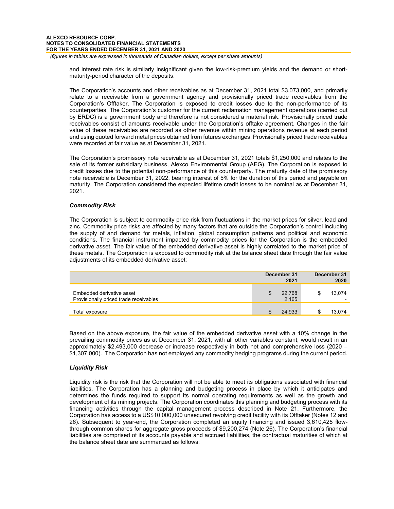and interest rate risk is similarly insignificant given the low-risk-premium yields and the demand or shortmaturity-period character of the deposits.

The Corporation's accounts and other receivables as at December 31, 2021 total \$3,073,000, and primarily relate to a receivable from a government agency and provisionally priced trade receivables from the Corporation's Offtaker. The Corporation is exposed to credit losses due to the non-performance of its counterparties. The Corporation's customer for the current reclamation management operations (carried out by ERDC) is a government body and therefore is not considered a material risk. Provisionally priced trade receivables consist of amounts receivable under the Corporation's offtake agreement. Changes in the fair value of these receivables are recorded as other revenue within mining operations revenue at each period end using quoted forward metal prices obtained from futures exchanges. Provisionally priced trade receivables were recorded at fair value as at December 31, 2021.

The Corporation's promissory note receivable as at December 31, 2021 totals \$1,250,000 and relates to the sale of its former subsidiary business, Alexco Environmental Group (AEG). The Corporation is exposed to credit losses due to the potential non-performance of this counterparty. The maturity date of the promissory note receivable is December 31, 2022, bearing interest of 5% for the duration of this period and payable on maturity. The Corporation considered the expected lifetime credit losses to be nominal as at December 31, 2021.

## *Commodity Risk*

The Corporation is subject to commodity price risk from fluctuations in the market prices for silver, lead and zinc. Commodity price risks are affected by many factors that are outside the Corporation's control including the supply of and demand for metals, inflation, global consumption patterns and political and economic conditions. The financial instrument impacted by commodity prices for the Corporation is the embedded derivative asset. The fair value of the embedded derivative asset is highly correlated to the market price of these metals. The Corporation is exposed to commodity risk at the balance sheet date through the fair value adjustments of its embedded derivative asset:

|                                                                     | December 31<br>2021 | December 31<br>2020 |        |  |
|---------------------------------------------------------------------|---------------------|---------------------|--------|--|
| Embedded derivative asset<br>Provisionally priced trade receivables | 22,768<br>2,165     |                     | 13,074 |  |
| Total exposure                                                      | 24.933              |                     | 13.074 |  |

Based on the above exposure, the fair value of the embedded derivative asset with a 10% change in the prevailing commodity prices as at December 31, 2021, with all other variables constant, would result in an approximately \$2,493,000 decrease or increase respectively in both net and comprehensive loss (2020 – \$1,307,000). The Corporation has not employed any commodity hedging programs during the current period.

## *Liquidity Risk*

Liquidity risk is the risk that the Corporation will not be able to meet its obligations associated with financial liabilities. The Corporation has a planning and budgeting process in place by which it anticipates and determines the funds required to support its normal operating requirements as well as the growth and development of its mining projects. The Corporation coordinates this planning and budgeting process with its financing activities through the capital management process described in Note 21. Furthermore, the Corporation has access to a US\$10,000,000 unsecured revolving credit facility with its Offtaker (Notes 12 and 26). Subsequent to year-end, the Corporation completed an equity financing and issued 3,610,425 flowthrough common shares for aggregate gross proceeds of \$9,200,274 (Note 26). The Corporation's financial liabilities are comprised of its accounts payable and accrued liabilities, the contractual maturities of which at the balance sheet date are summarized as follows: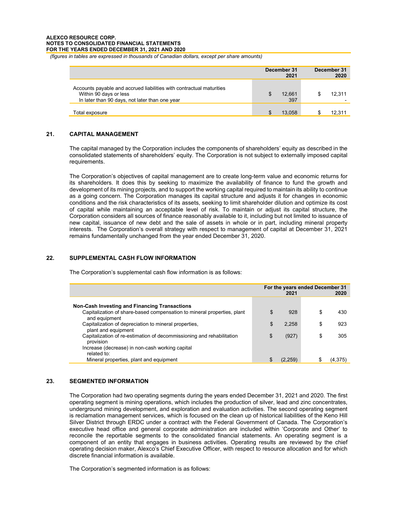|                                                                                                                                                  | December 31<br>2021 | December 31<br>2020 |
|--------------------------------------------------------------------------------------------------------------------------------------------------|---------------------|---------------------|
| Accounts payable and accrued liabilities with contractual maturities<br>Within 90 days or less<br>In later than 90 days, not later than one year | 12,661<br>397       | 12.311              |
| Total exposure                                                                                                                                   | 13.058              | 12.311              |

#### **21. CAPITAL MANAGEMENT**

The capital managed by the Corporation includes the components of shareholders' equity as described in the consolidated statements of shareholders' equity. The Corporation is not subject to externally imposed capital requirements.

The Corporation's objectives of capital management are to create long-term value and economic returns for its shareholders. It does this by seeking to maximize the availability of finance to fund the growth and development of its mining projects, and to support the working capital required to maintain its ability to continue as a going concern. The Corporation manages its capital structure and adjusts it for changes in economic conditions and the risk characteristics of its assets, seeking to limit shareholder dilution and optimize its cost of capital while maintaining an acceptable level of risk. To maintain or adjust its capital structure, the Corporation considers all sources of finance reasonably available to it, including but not limited to issuance of new capital, issuance of new debt and the sale of assets in whole or in part, including mineral property interests. The Corporation's overall strategy with respect to management of capital at December 31, 2021 remains fundamentally unchanged from the year ended December 31, 2020.

## **22. SUPPLEMENTAL CASH FLOW INFORMATION**

The Corporation's supplemental cash flow information is as follows:

|                                                                                          |     | For the years ended December 31<br>2021<br>2020 |    |         |  |  |
|------------------------------------------------------------------------------------------|-----|-------------------------------------------------|----|---------|--|--|
|                                                                                          |     |                                                 |    |         |  |  |
| Non-Cash Investing and Financing Transactions                                            |     |                                                 |    |         |  |  |
| Capitalization of share-based compensation to mineral properties, plant<br>and equipment | S   | 928                                             | \$ | 430     |  |  |
| Capitalization of depreciation to mineral properties,<br>plant and equipment             | \$. | 2.258                                           | \$ | 923     |  |  |
| Capitalization of re-estimation of decommissioning and rehabilitation<br>provision       | \$  | (927)                                           | \$ | 305     |  |  |
| Increase (decrease) in non-cash working capital<br>related to:                           |     |                                                 |    |         |  |  |
| Mineral properties, plant and equipment                                                  |     | 2.259)                                          |    | (4,375) |  |  |

## **23. SEGMENTED INFORMATION**

The Corporation had two operating segments during the years ended December 31, 2021 and 2020. The first operating segment is mining operations, which includes the production of silver, lead and zinc concentrates, underground mining development, and exploration and evaluation activities. The second operating segment is reclamation management services, which is focused on the clean up of historical liabilities of the Keno Hill Silver District through ERDC under a contract with the Federal Government of Canada. The Corporation's executive head office and general corporate administration are included within 'Corporate and Other' to reconcile the reportable segments to the consolidated financial statements. An operating segment is a component of an entity that engages in business activities. Operating results are reviewed by the chief operating decision maker, Alexco's Chief Executive Officer, with respect to resource allocation and for which discrete financial information is available.

The Corporation's segmented information is as follows: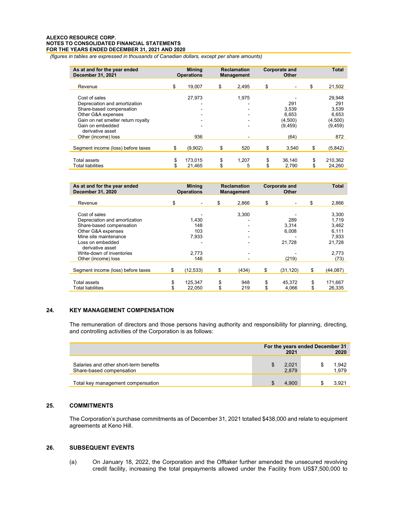#### **ALEXCO RESOURCE CORP. NOTES TO CONSOLIDATED FINANCIAL STATEMENTS FOR THE YEARS ENDED DECEMBER 31, 2021 AND 2020**

*(figures in tables are expressed in thousands of Canadian dollars, except per share amounts)*

| As at and for the year ended<br>December 31, 2021         |          | <b>Mining</b><br><b>Operations</b> | <b>Reclamation</b><br><b>Management</b> |            | Corporate and<br>Other |                     |          | <b>Total</b>        |
|-----------------------------------------------------------|----------|------------------------------------|-----------------------------------------|------------|------------------------|---------------------|----------|---------------------|
| Revenue                                                   | \$       | 19,007                             | \$                                      | 2.495      | \$                     |                     | \$       | 21,502              |
| Cost of sales                                             |          | 27.973                             |                                         | 1.975      |                        |                     |          | 29,948              |
| Depreciation and amortization<br>Share-based compensation |          |                                    |                                         |            |                        | 291<br>3,539        |          | 291<br>3,539        |
| Other G&A expenses                                        |          |                                    |                                         |            |                        | 6,653               |          | 6,653               |
| Gain on net smelter return royalty<br>Gain on embedded    |          |                                    |                                         |            |                        | (4,500)<br>(9, 459) |          | (4,500)<br>(9, 459) |
| derivative asset                                          |          |                                    |                                         |            |                        |                     |          |                     |
| Other (income) loss                                       |          | 936                                |                                         |            |                        | (64)                |          | 872                 |
| Segment income (loss) before taxes                        | \$       | (9,902)                            | \$                                      | 520        | \$                     | 3,540               | \$       | (5,842)             |
| Total assets<br>Total liabilities                         | \$<br>\$ | 173,015<br>21,465                  | \$<br>\$                                | 1,207<br>5 | \$                     | 36.140<br>2,790     | \$<br>\$ | 210,362<br>24,260   |

| As at and for the year ended<br>December 31, 2020         | <b>Mining</b><br><b>Operations</b> | <b>Reclamation</b><br><b>Management</b> |       | <b>Corporate and</b><br><b>Other</b> |              | <b>Total</b>    |
|-----------------------------------------------------------|------------------------------------|-----------------------------------------|-------|--------------------------------------|--------------|-----------------|
| Revenue                                                   | \$<br>$\blacksquare$               | \$                                      | 2.866 | \$                                   |              | \$<br>2,866     |
| Cost of sales                                             |                                    |                                         | 3,300 |                                      |              | 3.300           |
| Depreciation and amortization<br>Share-based compensation | 1.430<br>148                       |                                         |       |                                      | 289<br>3,314 | 1,719<br>3,462  |
| Other G&A expenses                                        | 103                                |                                         |       |                                      | 6,008        | 6,111           |
| Mine site maintenance                                     | 7,933                              |                                         |       |                                      |              | 7.933           |
| Loss on embedded<br>derivative asset                      |                                    |                                         |       |                                      | 21,728       | 21,728          |
| Write-down of inventories                                 | 2.773                              |                                         |       |                                      |              | 2.773           |
| Other (income) loss                                       | 146                                |                                         |       |                                      | (219)        | (73)            |
| Segment income (loss) before taxes                        | \$<br>(12, 533)                    | \$                                      | (434) | \$                                   | (31, 120)    | \$<br>(44, 087) |
|                                                           |                                    |                                         |       |                                      |              |                 |
| Total assets                                              | \$<br>125.347                      | \$                                      | 948   | \$                                   | 45.372       | \$<br>171,667   |
| Total liabilities                                         | 22.050                             | \$                                      | 219   | \$                                   | 4.066        | 26.335          |

#### **24. KEY MANAGEMENT COMPENSATION**

The remuneration of directors and those persons having authority and responsibility for planning, directing, and controlling activities of the Corporation is as follows:

|                                                                    | For the years ended December 31<br>2021<br>2020 |                |  |                |  |  |
|--------------------------------------------------------------------|-------------------------------------------------|----------------|--|----------------|--|--|
| Salaries and other short-term benefits<br>Share-based compensation |                                                 | 2,021<br>2.879 |  | 1,942<br>1,979 |  |  |
| Total key management compensation                                  |                                                 | 4.900          |  | 3.921          |  |  |

#### **25. COMMITMENTS**

The Corporation's purchase commitments as of December 31, 2021 totalled \$438,000 and relate to equipment agreements at Keno Hill.

## **26. SUBSEQUENT EVENTS**

(a) On January 18, 2022, the Corporation and the Offtaker further amended the unsecured revolving credit facility, increasing the total prepayments allowed under the Facility from US\$7,500,000 to